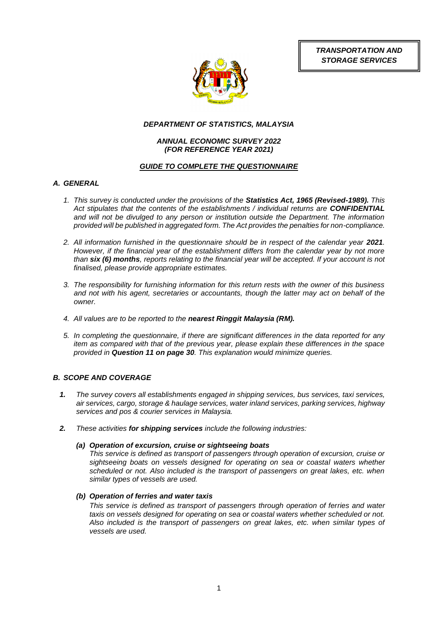*TRANSPORTATION AND STORAGE SERVICES*



# *DEPARTMENT OF STATISTICS, MALAYSIA*

# *ANNUAL ECONOMIC SURVEY 2022 (FOR REFERENCE YEAR 2021)*

# *GUIDE TO COMPLETE THE QUESTIONNAIRE*

# *A. GENERAL*

- *1. This survey is conducted under the provisions of the Statistics Act, 1965 (Revised-1989). This Act stipulates that the contents of the establishments / individual returns are CONFIDENTIAL and will not be divulged to any person or institution outside the Department. The information provided will be published in aggregated form. The Act provides the penalties for non-compliance.*
- 2. All information furnished in the questionnaire should be in respect of the calendar year 2021. *However, if the financial year of the establishment differs from the calendar year by not more than six (6) months, reports relating to the financial year will be accepted. If your account is not finalised, please provide appropriate estimates.*
- *3. The responsibility for furnishing information for this return rests with the owner of this business and not with his agent, secretaries or accountants, though the latter may act on behalf of the owner.*
- *4. All values are to be reported to the nearest Ringgit Malaysia (RM).*
- *5. In completing the questionnaire, if there are significant differences in the data reported for any item as compared with that of the previous year, please explain these differences in the space provided in Question 11 on page 30. This explanation would minimize queries.*

# *B. SCOPE AND COVERAGE*

- *1. The survey covers all establishments engaged in shipping services, bus services, taxi services, air services, cargo, storage & haulage services, water inland services, parking services, highway services and pos & courier services in Malaysia.*
- *2. These activities for shipping services include the following industries:*

# *(a) Operation of excursion, cruise or sightseeing boats*

*This service is defined as transport of passengers through operation of excursion, cruise or sightseeing boats on vessels designed for operating on sea or coastal waters whether scheduled or not. Also included is the transport of passengers on great lakes, etc. when similar types of vessels are used.*

# *(b) Operation of ferries and water taxis*

*This service is defined as transport of passengers through operation of ferries and water taxis on vessels designed for operating on sea or coastal waters whether scheduled or not. Also included is the transport of passengers on great lakes, etc. when similar types of vessels are used.*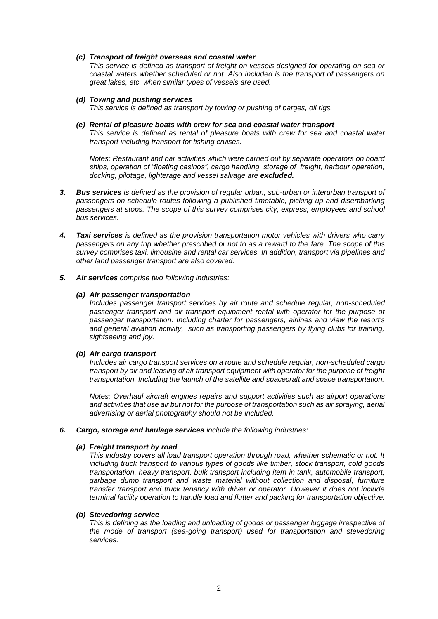## *(c) Transport of freight overseas and coastal water*

*This service is defined as transport of freight on vessels designed for operating on sea or coastal waters whether scheduled or not. Also included is the transport of passengers on great lakes, etc. when similar types of vessels are used.* 

*(d) Towing and pushing services* 

*This service is defined as transport by towing or pushing of barges, oil rigs.*

*(e) Rental of pleasure boats with crew for sea and coastal water transport This service is defined as rental of pleasure boats with crew for sea and coastal water transport including transport for fishing cruises.*

*Notes: Restaurant and bar activities which were carried out by separate operators on board ships, operation of "floating casinos", cargo handling, storage of freight, harbour operation, docking, pilotage, lighterage and vessel salvage are excluded.*

- *3. Bus services is defined as the provision of regular urban, sub-urban or interurban transport of passengers on schedule routes following a published timetable, picking up and disembarking passengers at stops. The scope of this survey comprises city, express, employees and school bus services.*
- *4. Taxi services is defined as the provision transportation motor vehicles with drivers who carry passengers on any trip whether prescribed or not to as a reward to the fare. The scope of this survey comprises taxi, limousine and rental car services. In addition, transport via pipelines and other land passenger transport are also covered.*
- *5. Air services comprise two following industries:*

#### *(a) Air passenger transportation*

*Includes passenger transport services by air route and schedule regular, non-scheduled passenger transport and air transport equipment rental with operator for the purpose of passenger transportation. Including charter for passengers, airlines and view the resort's and general aviation activity, such as transporting passengers by flying clubs for training, sightseeing and joy.*

# *(b) Air cargo transport*

*Includes air cargo transport services on a route and schedule regular, non-scheduled cargo transport by air and leasing of air transport equipment with operator for the purpose of freight transportation. Including the launch of the satellite and spacecraft and space transportation.*

*Notes: Overhaul aircraft engines repairs and support activities such as airport operations and activities that use air but not for the purpose of transportation such as air spraying, aerial advertising or aerial photography should not be included.* 

# *6. Cargo, storage and haulage services include the following industries:*

#### *(a) Freight transport by road*

*This industry covers all load transport operation through road, whether schematic or not. It including truck transport to various types of goods like timber, stock transport, cold goods transportation, heavy transport, bulk transport including item in tank, automobile transport, garbage dump transport and waste material without collection and disposal, furniture transfer transport and truck tenancy with driver or operator. However it does not include terminal facility operation to handle load and flutter and packing for transportation objective.*

# *(b) Stevedoring service*

This is defining as the loading and unloading of goods or passenger luggage irrespective of *the mode of transport (sea-going transport) used for transportation and stevedoring services.*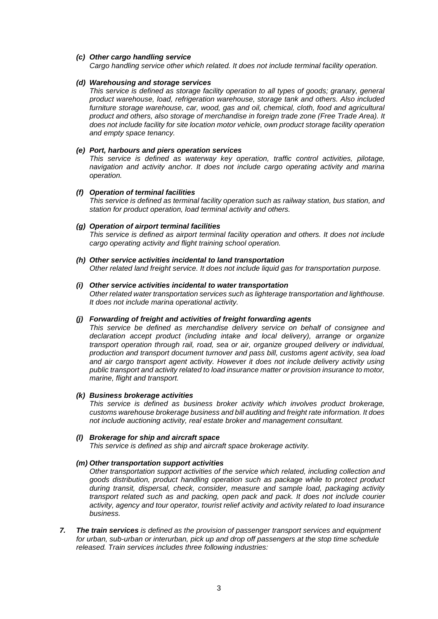## *(c) Other cargo handling service*

*Cargo handling service other which related. It does not include terminal facility operation.*

#### *(d) Warehousing and storage services*

*This service is defined as storage facility operation to all types of goods; granary, general product warehouse, load, refrigeration warehouse, storage tank and others. Also included*  furniture storage warehouse, car, wood, gas and oil, chemical, cloth, food and agricultural *product and others, also storage of merchandise in foreign trade zone (Free Trade Area). It does not include facility for site location motor vehicle, own product storage facility operation and empty space tenancy.* 

### *(e) Port, harbours and piers operation services*

*This service is defined as waterway key operation, traffic control activities, pilotage, navigation and activity anchor. It does not include cargo operating activity and marina operation.*

#### *(f) Operation of terminal facilities*

*This service is defined as terminal facility operation such as railway station, bus station, and station for product operation, load terminal activity and others.*

#### *(g) Operation of airport terminal facilities*

*This service is defined as airport terminal facility operation and others. It does not include cargo operating activity and flight training school operation.*

# *(h) Other service activities incidental to land transportation*

*Other related land freight service. It does not include liquid gas for transportation purpose.* 

# *(i) Other service activities incidental to water transportation*

*Other related water transportation services such as lighterage transportation and lighthouse. It does not include marina operational activity.*

#### *(j) Forwarding of freight and activities of freight forwarding agents*

*This service be defined as merchandise delivery service on behalf of consignee and declaration accept product (including intake and local delivery), arrange or organize transport operation through rail, road, sea or air, organize grouped delivery or individual, production and transport document turnover and pass bill, customs agent activity, sea load and air cargo transport agent activity. However it does not include delivery activity using public transport and activity related to load insurance matter or provision insurance to motor, marine, flight and transport.*

#### *(k) Business brokerage activities*

*This service is defined as business broker activity which involves product brokerage, customs warehouse brokerage business and bill auditing and freight rate information. It does not include auctioning activity, real estate broker and management consultant.*

# *(l) Brokerage for ship and aircraft space*

*This service is defined as ship and aircraft space brokerage activity.* 

# *(m) Other transportation support activities*

*Other transportation support activities of the service which related, including collection and goods distribution, product handling operation such as package while to protect product during transit, dispersal, check, consider, measure and sample load, packaging activity transport related such as and packing, open pack and pack. It does not include courier activity, agency and tour operator, tourist relief activity and activity related to load insurance business.*

*7. The train services is defined as the provision of passenger transport services and equipment for urban, sub-urban or interurban, pick up and drop off passengers at the stop time schedule released. Train services includes three following industries:*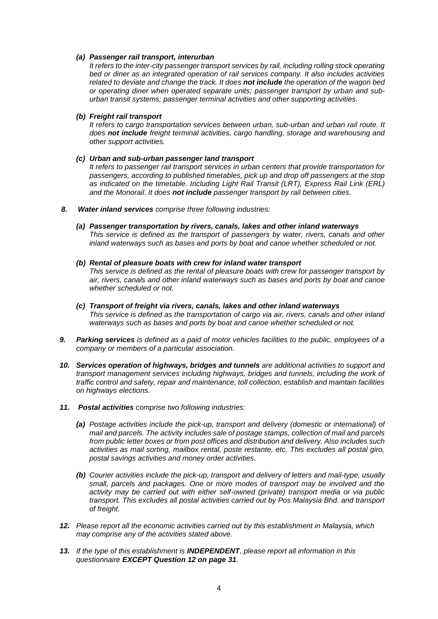## *(a) Passenger rail transport, interurban*

*It refers to the inter-city passenger transport services by rail, including rolling stock operating bed or diner as an integrated operation of rail services company. It also includes activities related to deviate and change the track. It does not include the operation of the wagon bed or operating diner when operated separate units; passenger transport by urban and suburban transit systems; passenger terminal activities and other supporting activities.*

## *(b) Freight rail transport*

*It refers to cargo transportation services between urban, sub-urban and urban rail route. It does not include freight terminal activities, cargo handling, storage and warehousing and other support activities.*

#### *(c) Urban and sub-urban passenger land transport*

*It refers to passenger rail transport services in urban centers that provide transportation for passengers, according to published timetables, pick up and drop off passengers at the stop as indicated on the timetable. Including Light Rail Transit (LRT), Express Rail Link (ERL) and the Monorail. It does not include passenger transport by rail between cities.*

- *8. Water inland services comprise three following industries:*
	- *(a) Passenger transportation by rivers, canals, lakes and other inland waterways This service is defined as the transport of passengers by water, rivers, canals and other inland waterways such as bases and ports by boat and canoe whether scheduled or not.*
	- *(b) Rental of pleasure boats with crew for inland water transport This service is defined as the rental of pleasure boats with crew for passenger transport by air, rivers, canals and other inland waterways such as bases and ports by boat and canoe whether scheduled or not.*
	- *(c) Transport of freight via rivers, canals, lakes and other inland waterways This service is defined as the transportation of cargo via air, rivers, canals and other inland waterways such as bases and ports by boat and canoe whether scheduled or not.*
- *9. Parking services is defined as a paid of motor vehicles facilities to the public, employees of a company or members of a particular association.*
- *10. Services operation of highways, bridges and tunnels are additional activities to support and transport management services including highways, bridges and tunnels, including the work of traffic control and safety, repair and maintenance, toll collection, establish and maintain facilities on highways elections.*
- *11. Postal activities comprise two following industries:*
	- *(a) Postage activities include the pick-up, transport and delivery (domestic or international) of mail and parcels. The activity includes sale of postage stamps, collection of mail and parcels from public letter boxes or from post offices and distribution and delivery. Also includes such activities as mail sorting, mailbox rental, poste restante, etc. This excludes all postal giro, postal savings activities and money order activities.*
	- *(b) Courier activities include the pick-up, transport and delivery of letters and mail-type, usually small, parcels and packages. One or more modes of transport may be involved and the activity may be carried out with either self-owned (private) transport media or via public transport. This excludes all postal activities carried out by Pos Malaysia Bhd. and transport of freight.*
- *12. Please report all the economic activities carried out by this establishment in Malaysia, which may comprise any of the activities stated above.*
- *13. If the type of this establishment is INDEPENDENT, please report all information in this questionnaire EXCEPT Question 12 on page 31.*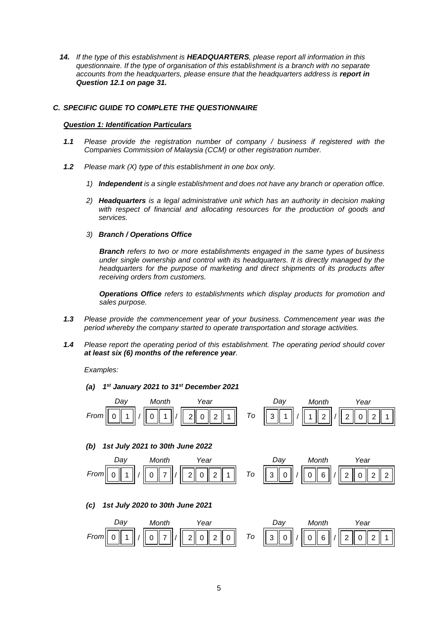*14. If the type of this establishment is HEADQUARTERS, please report all information in this questionnaire. If the type of organisation of this establishment is a branch with no separate accounts from the headquarters, please ensure that the headquarters address is report in Question 12.1 on page 31.*

# *C. SPECIFIC GUIDE TO COMPLETE THE QUESTIONNAIRE*

# *Question 1: Identification Particulars*

- *1.1 Please provide the registration number of company / business if registered with the Companies Commission of Malaysia (CCM) or other registration number.*
- *1.2 Please mark (X) type of this establishment in one box only.*
	- *1) Independent is a single establishment and does not have any branch or operation office.*
	- *2) Headquarters is a legal administrative unit which has an authority in decision making with respect of financial and allocating resources for the production of goods and services.*

#### *3) Branch / Operations Office*

*Branch refers to two or more establishments engaged in the same types of business under single ownership and control with its headquarters. It is directly managed by the headquarters for the purpose of marketing and direct shipments of its products after receiving orders from customers.*

*Operations Office refers to establishments which display products for promotion and sales purpose.*

- *1.3 Please provide the commencement year of your business. Commencement year was the period whereby the company started to operate transportation and storage activities.*
- *1.4 Please report the operating period of this establishment. The operating period should cover at least six (6) months of the reference year.*

*Examples:*

*(a) 1 st January 2021 to 31st December 2021*



# *(b) 1st July 2021 to 30th June 2022*



# *(c) 1st July 2020 to 30th June 2021*

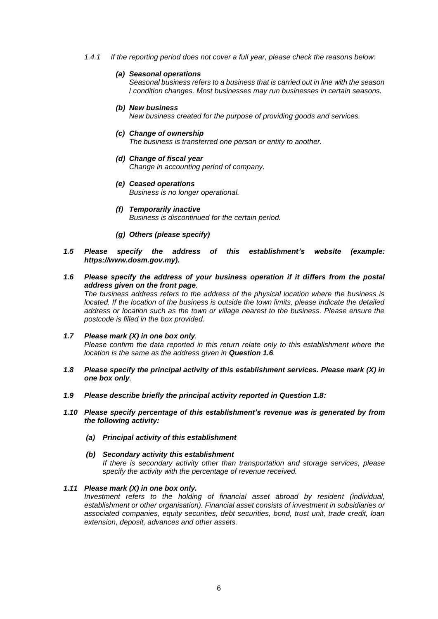*1.4.1 If the reporting period does not cover a full year, please check the reasons below:* 

#### *(a) Seasonal operations*

*Seasonal business refers to a business that is carried out in line with the season*  / *condition changes. Most businesses may run businesses in certain seasons.*

*(b) New business*

*New business created for the purpose of providing goods and services.*

*(c) Change of ownership*

*The business is transferred one person or entity to another.*

- *(d) Change of fiscal year Change in accounting period of company.*
- *(e) Ceased operations Business is no longer operational.*
- *(f) Temporarily inactive Business is discontinued for the certain period.*
- *(g) Others (please specify)*
- *1.5 Please specify the address of this establishment's website (example: https://www.dosm.gov.my).*
- *1.6 Please specify the address of your business operation if it differs from the postal address given on the front page.*

*The business address refers to the address of the physical location where the business is located. If the location of the business is outside the town limits, please indicate the detailed address or location such as the town or village nearest to the business. Please ensure the postcode is filled in the box provided.*

- *1.7 Please mark (X) in one box only. Please confirm the data reported in this return relate only to this establishment where the location is the same as the address given in Question 1.6.*
- *1.8 Please specify the principal activity of this establishment services. Please mark (X) in one box only.*
- *1.9 Please describe briefly the principal activity reported in Question 1.8:*
- *1.10 Please specify percentage of this establishment's revenue was is generated by from the following activity:*
	- *(a) Principal activity of this establishment*

#### *(b) Secondary activity this establishment*

*If there is secondary activity other than transportation and storage services, please specify the activity with the percentage of revenue received.*

#### *1.11 Please mark (X) in one box only.*

*Investment refers to the holding of financial asset abroad by resident (individual, establishment or other organisation). Financial asset consists of investment in subsidiaries or associated companies, equity securities, debt securities, bond, trust unit, trade credit, loan extension, deposit, advances and other assets.*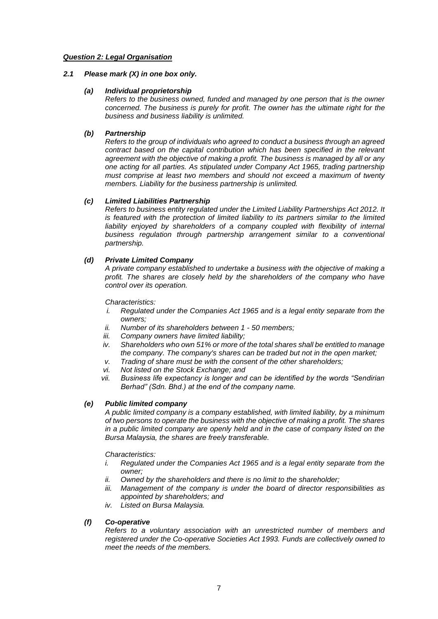# *Question 2: Legal Organisation*

# *2.1 Please mark (X) in one box only.*

# *(a) Individual proprietorship*

*Refers to the business owned, funded and managed by one person that is the owner concerned. The business is purely for profit. The owner has the ultimate right for the business and business liability is unlimited.*

# *(b) Partnership*

*Refers to the group of individuals who agreed to conduct a business through an agreed contract based on the capital contribution which has been specified in the relevant agreement with the objective of making a profit. The business is managed by all or any one acting for all parties. As stipulated under Company Act 1965, trading partnership must comprise at least two members and should not exceed a maximum of twenty members. Liability for the business partnership is unlimited.*

# *(c) Limited Liabilities Partnership*

*Refers to business entity regulated under the Limited Liability Partnerships Act 2012. It is featured with the protection of limited liability to its partners similar to the limited* liability enjoyed by shareholders of a company coupled with flexibility of internal *business regulation through partnership arrangement similar to a conventional partnership.*

# *(d) Private Limited Company*

*A private company established to undertake a business with the objective of making a profit. The shares are closely held by the shareholders of the company who have control over its operation.*

*Characteristics:*

- *i. Regulated under the Companies Act 1965 and is a legal entity separate from the owners;*
- *ii. Number of its shareholders between 1 - 50 members;*
- *iii. Company owners have limited liability;*
- *iv. Shareholders who own 51% or more of the total shares shall be entitled to manage the company. The company's shares can be traded but not in the open market;*
- *v. Trading of share must be with the consent of the other shareholders;*
- *vi. Not listed on the Stock Exchange; and*
- *vii. Business life expectancy is longer and can be identified by the words "Sendirian Berhad" (Sdn. Bhd.) at the end of the company name.*

# *(e) Public limited company*

*A public limited company is a company established, with limited liability, by a minimum of two persons to operate the business with the objective of making a profit. The shares in a public limited company are openly held and in the case of company listed on the Bursa Malaysia, the shares are freely transferable.* 

*Characteristics:*

- *i. Regulated under the Companies Act 1965 and is a legal entity separate from the owner;*
- *ii. Owned by the shareholders and there is no limit to the shareholder;*
- *iii. Management of the company is under the board of director responsibilities as appointed by shareholders; and*
- *iv. Listed on Bursa Malaysia.*

# *(f) Co-operative*

*Refers to a voluntary association with an unrestricted number of members and registered under the Co-operative Societies Act 1993. Funds are collectively owned to meet the needs of the members.*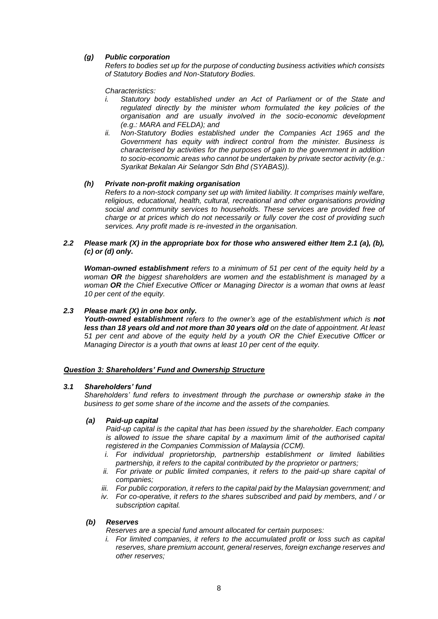# *(g) Public corporation*

*Refers to bodies set up for the purpose of conducting business activities which consists of Statutory Bodies and Non-Statutory Bodies.*

*Characteristics:*

- *i. Statutory body established under an Act of Parliament or of the State and regulated directly by the minister whom formulated the key policies of the organisation and are usually involved in the socio-economic development (e.g.: MARA and FELDA); and*
- *ii. Non-Statutory Bodies established under the Companies Act 1965 and the Government has equity with indirect control from the minister. Business is characterised by activities for the purposes of gain to the government in addition to socio-economic areas who cannot be undertaken by private sector activity (e.g.: Syarikat Bekalan Air Selangor Sdn Bhd (SYABAS)).*

# *(h) Private non-profit making organisation*

*Refers to a non-stock company set up with limited liability. It comprises mainly welfare, religious, educational, health, cultural, recreational and other organisations providing social and community services to households. These services are provided free of charge or at prices which do not necessarily or fully cover the cost of providing such services. Any profit made is re-invested in the organisation.*

# *2.2 Please mark (X) in the appropriate box for those who answered either Item 2.1 (a), (b), (c) or (d) only.*

*Woman-owned establishment refers to a minimum of 51 per cent of the equity held by a woman OR the biggest shareholders are women and the establishment is managed by a woman OR the Chief Executive Officer or Managing Director is a woman that owns at least 10 per cent of the equity.*

# *2.3 Please mark (X) in one box only.*

*Youth-owned establishment refers to the owner's age of the establishment which is not less than 18 years old and not more than 30 years old on the date of appointment. At least 51 per cent and above of the equity held by a youth OR the Chief Executive Officer or Managing Director is a youth that owns at least 10 per cent of the equity.*

# *Question 3: Shareholders' Fund and Ownership Structure*

# *3.1 Shareholders' fund*

*Shareholders' fund refers to investment through the purchase or ownership stake in the business to get some share of the income and the assets of the companies.*

# *(a) Paid-up capital*

*Paid-up capital is the capital that has been issued by the shareholder. Each company is allowed to issue the share capital by a maximum limit of the authorised capital registered in the Companies Commission of Malaysia (CCM).*

- *i. For individual proprietorship, partnership establishment or limited liabilities partnership, it refers to the capital contributed by the proprietor or partners;*
- *ii.* For private or public limited companies, it refers to the paid-up share capital of *companies;*
- *iii. For public corporation, it refers to the capital paid by the Malaysian government; and*
- *iv. For co-operative, it refers to the shares subscribed and paid by members, and / or subscription capital.*

# *(b) Reserves*

*Reserves are a special fund amount allocated for certain purposes:*

*i.* For limited companies, it refers to the accumulated profit or loss such as capital *reserves, share premium account, general reserves, foreign exchange reserves and other reserves;*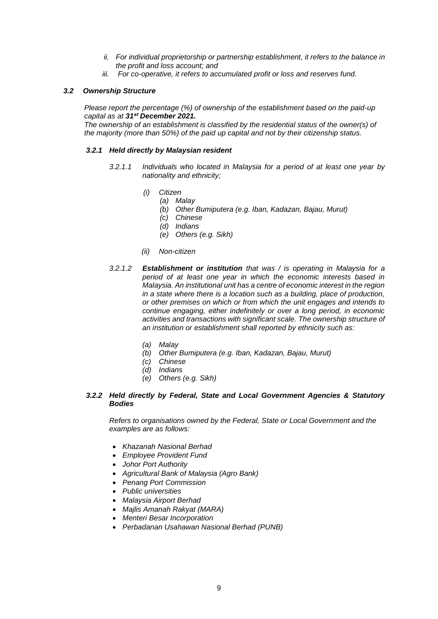- *ii. For individual proprietorship or partnership establishment, it refers to the balance in the profit and loss account; and*
- *iii. For co-operative, it refers to accumulated profit or loss and reserves fund.*

# *3.2 Ownership Structure*

*Please report the percentage (%) of ownership of the establishment based on the paid-up capital as at 31***st** *December 2021.*

*The ownership of an establishment is classified by the residential status of the owner(s) of the majority (more than 50%) of the paid up capital and not by their citizenship status.*

# *3.2.1 Held directly by Malaysian resident*

- *3.2.1.1 Individuals who located in Malaysia for a period of at least one year by nationality and ethnicity;*
	- *(i) Citizen*
		- *(a) Malay*
			- *(b) Other Bumiputera (e.g. Iban, Kadazan, Bajau, Murut)*
			- *(c) Chinese*
			- *(d) Indians*
			- *(e) Others (e.g. Sikh)*
	- *(ii) Non-citizen*
- *3.2.1.2 Establishment or institution that was / is operating in Malaysia for a period of at least one year in which the economic interests based in Malaysia. An institutional unit has a centre of economic interest in the region in a state where there is a location such as a building, place of production, or other premises on which or from which the unit engages and intends to continue engaging, either indefinitely or over a long period, in economic activities and transactions with significant scale. The ownership structure of an institution or establishment shall reported by ethnicity such as:*
	- *(a) Malay*
	- *(b) Other Bumiputera (e.g. Iban, Kadazan, Bajau, Murut)*
	- *(c) Chinese*
	- *(d) Indians*
	- *(e) Others (e.g. Sikh)*

# *3.2.2 Held directly by Federal, State and Local Government Agencies & Statutory Bodies*

*Refers to organisations owned by the Federal, State or Local Government and the examples are as follows:*

- *Khazanah Nasional Berhad*
- *Employee Provident Fund*
- *Johor Port Authority*
- *Agricultural Bank of Malaysia (Agro Bank)*
- *Penang Port Commission*
- *Public universities*
- *Malaysia Airport Berhad*
- *Majlis Amanah Rakyat (MARA)*
- *Menteri Besar Incorporation*
- *Perbadanan Usahawan Nasional Berhad (PUNB)*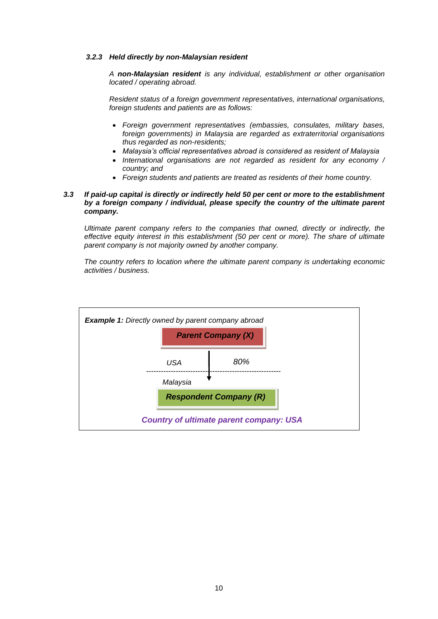# *3.2.3 Held directly by non-Malaysian resident*

*A non-Malaysian resident is any individual, establishment or other organisation located / operating abroad.* 

*Resident status of a foreign government representatives, international organisations, foreign students and patients are as follows:*

- *Foreign government representatives (embassies, consulates, military bases, foreign governments) in Malaysia are regarded as extraterritorial organisations thus regarded as non-residents;*
- *Malaysia's official representatives abroad is considered as resident of Malaysia*
- *International organisations are not regarded as resident for any economy / country; and*
- *Foreign students and patients are treated as residents of their home country.*

# *3.3 If paid-up capital is directly or indirectly held 50 per cent or more to the establishment by a foreign company / individual, please specify the country of the ultimate parent company.*

*Ultimate parent company refers to the companies that owned, directly or indirectly, the effective equity interest in this establishment (50 per cent or more). The share of ultimate parent company is not majority owned by another company.*

*The country refers to location where the ultimate parent company is undertaking economic activities / business.*

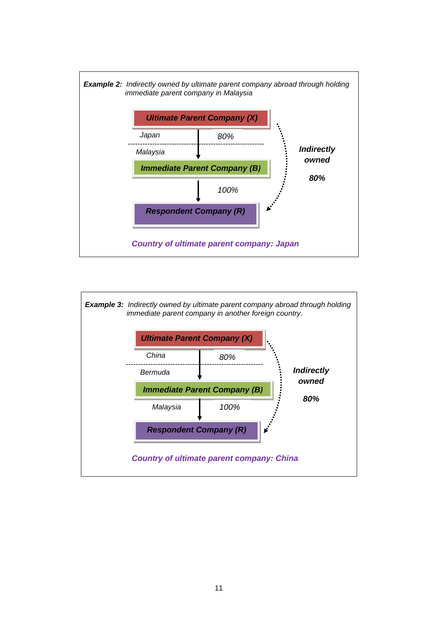

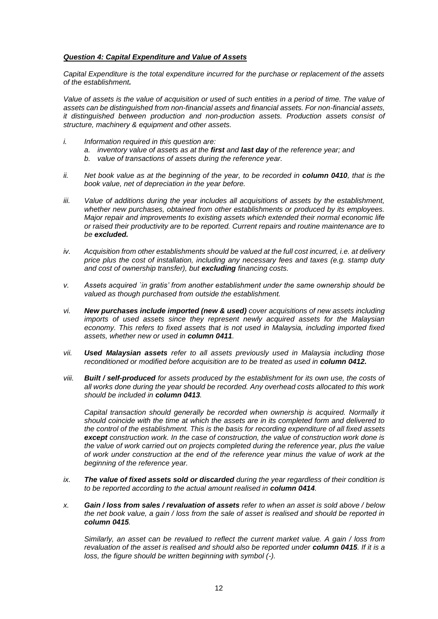# *Question 4: Capital Expenditure and Value of Assets*

*Capital Expenditure is the total expenditure incurred for the purchase or replacement of the assets of the establishment.* 

Value of assets is the value of acquisition or used of such entities in a period of time. The value of *assets can be distinguished from non-financial assets and financial assets. For non-financial assets, it distinguished between production and non-production assets. Production assets consist of structure, machinery & equipment and other assets.*

- *i. Information required in this question are:*
	- *a. inventory value of assets as at the first and last day of the reference year; and*
	- *b. value of transactions of assets during the reference year.*
- *ii.* Net book value as at the beginning of the year, to be recorded in **column 0410**, that is the *book value, net of depreciation in the year before.*
- *iii. Value of additions during the year includes all acquisitions of assets by the establishment, whether new purchases, obtained from other establishments or produced by its employees. Major repair and improvements to existing assets which extended their normal economic life or raised their productivity are to be reported. Current repairs and routine maintenance are to be excluded.*
- *iv. Acquisition from other establishments should be valued at the full cost incurred, i.e. at delivery price plus the cost of installation, including any necessary fees and taxes (e.g. stamp duty and cost of ownership transfer), but excluding financing costs.*
- *v. Assets acquired `in gratis' from another establishment under the same ownership should be valued as though purchased from outside the establishment.*
- *vi. New purchases include imported (new & used) cover acquisitions of new assets including imports of used assets since they represent newly acquired assets for the Malaysian economy. This refers to fixed assets that is not used in Malaysia, including imported fixed assets, whether new or used in column 0411.*
- *vii. Used Malaysian assets refer to all assets previously used in Malaysia including those reconditioned or modified before acquisition are to be treated as used in column 0412.*
- *viii. Built / self-produced for assets produced by the establishment for its own use, the costs of all works done during the year should be recorded. Any overhead costs allocated to this work should be included in column 0413.*

*Capital transaction should generally be recorded when ownership is acquired. Normally it should coincide with the time at which the assets are in its completed form and delivered to the control of the establishment. This is the basis for recording expenditure of all fixed assets except construction work. In the case of construction, the value of construction work done is the value of work carried out on projects completed during the reference year, plus the value of work under construction at the end of the reference year minus the value of work at the beginning of the reference year.*

- *ix. The value of fixed assets sold or discarded during the year regardless of their condition is to be reported according to the actual amount realised in column 0414.*
- *x. Gain / loss from sales / revaluation of assets refer to when an asset is sold above / below the net book value, a gain / loss from the sale of asset is realised and should be reported in column 0415.*

*Similarly, an asset can be revalued to reflect the current market value. A gain / loss from revaluation of the asset is realised and should also be reported under column 0415. If it is a loss, the figure should be written beginning with symbol (-).*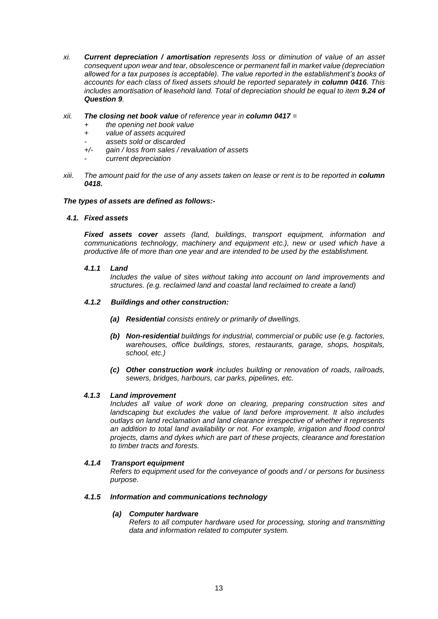*xi. Current depreciation / amortisation represents loss or diminution of value of an asset consequent upon wear and tear, obsolescence or permanent fall in market value (depreciation allowed for a tax purposes is acceptable). The value reported in the establishment's books of accounts for each class of fixed assets should be reported separately in <i>column 0416*. This *includes amortisation of leasehold land. Total of depreciation should be equal to item 9.24 of Question 9.*

# *xii. The closing net book value of reference year in column 0417 =*

- *+ the opening net book value*
- *+ value of assets acquired*
- *- assets sold or discarded*
- *+/- gain / loss from sales / revaluation of assets*
- *- current depreciation*
- *xiii.* The amount paid for the use of any assets taken on lease or rent is to be reported in **column** *0418.*

# *The types of assets are defined as follows:-*

# *4.1. Fixed assets*

*Fixed assets cover assets (land, buildings, transport equipment, information and communications technology, machinery and equipment etc.), new or used which have a productive life of more than one year and are intended to be used by the establishment.*

# *4.1.1 Land*

*Includes the value of sites without taking into account on land improvements and structures. (e.g. reclaimed land and coastal land reclaimed to create a land)*

# *4.1.2 Buildings and other construction:*

- *(a) Residential consists entirely or primarily of dwellings.*
- *(b) Non-residential buildings for industrial, commercial or public use (e.g. factories, warehouses, office buildings, stores, restaurants, garage, shops, hospitals, school, etc.)*
- *(c) Other construction work includes building or renovation of roads, railroads, sewers, bridges, harbours, car parks, pipelines, etc.*

# *4.1.3 Land improvement*

*Includes all value of work done on clearing, preparing construction sites and landscaping but excludes the value of land before improvement. It also includes outlays on land reclamation and land clearance irrespective of whether it represents an addition to total land availability or not. For example, irrigation and flood control projects, dams and dykes which are part of these projects, clearance and forestation to timber tracts and forests.*

# *4.1.4 Transport equipment*

*Refers to equipment used for the conveyance of goods and / or persons for business purpose.*

# *4.1.5 Information and communications technology*

# *(a) Computer hardware*

*Refers to all computer hardware used for processing, storing and transmitting data and information related to computer system.*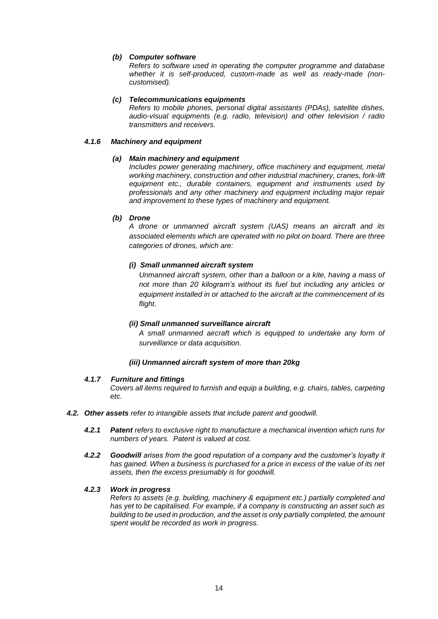# *(b) Computer software*

*Refers to software used in operating the computer programme and database whether it is self-produced, custom-made as well as ready-made (noncustomised).*

# *(c) Telecommunications equipments*

*Refers to mobile phones, personal digital assistants (PDAs), satellite dishes, audio-visual equipments (e.g. radio, television) and other television / radio transmitters and receivers.*

# *4.1.6 Machinery and equipment*

# *(a) Main machinery and equipment*

*Includes power generating machinery, office machinery and equipment, metal working machinery, construction and other industrial machinery, cranes, fork-lift equipment etc., durable containers, equipment and instruments used by professionals and any other machinery and equipment including major repair and improvement to these types of machinery and equipment.*

# *(b) Drone*

*A drone or unmanned aircraft system (UAS) means an aircraft and its associated elements which are operated with no pilot on board. There are three categories of drones, which are:*

# *(i) Small unmanned aircraft system*

*Unmanned aircraft system, other than a balloon or a kite, having a mass of not more than 20 kilogram's without its fuel but including any articles or equipment installed in or attached to the aircraft at the commencement of its flight.*

# *(ii) Small unmanned surveillance aircraft*

*A small unmanned aircraft which is equipped to undertake any form of surveillance or data acquisition.*

# *(iii) Unmanned aircraft system of more than 20kg*

# *4.1.7 Furniture and fittings*

*Covers all items required to furnish and equip a building, e.g. chairs, tables, carpeting etc.*

- *4.2. Other assets refer to intangible assets that include patent and goodwill.*
	- *4.2.1 Patent refers to exclusive right to manufacture a mechanical invention which runs for numbers of years. Patent is valued at cost.*
	- *4.2.2 Goodwill arises from the good reputation of a company and the customer's loyalty it has gained. When a business is purchased for a price in excess of the value of its net assets, then the excess presumably is for goodwill.*

# *4.2.3 Work in progress*

*Refers to assets (e.g. building, machinery & equipment etc.) partially completed and has yet to be capitalised. For example, if a company is constructing an asset such as building to be used in production, and the asset is only partially completed, the amount spent would be recorded as work in progress.*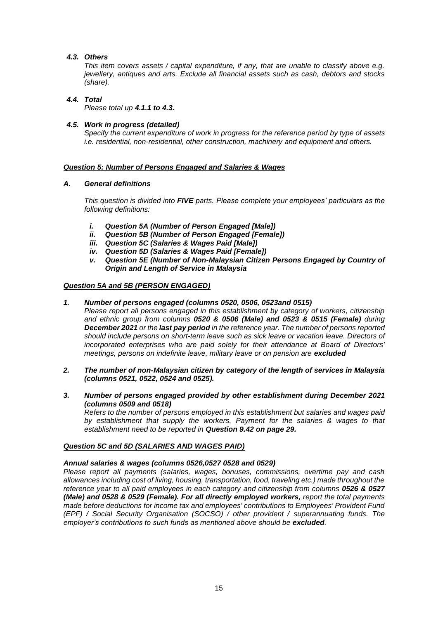# *4.3. Others*

*This item covers assets / capital expenditure, if any, that are unable to classify above e.g. jewellery, antiques and arts. Exclude all financial assets such as cash, debtors and stocks (share).*

# *4.4. Total*

*Please total up 4.1.1 to 4.3.*

# *4.5. Work in progress (detailed)*

*Specify the current expenditure of work in progress for the reference period by type of assets i.e. residential, non-residential, other construction, machinery and equipment and others.*

# *Question 5: Number of Persons Engaged and Salaries & Wages*

# *A. General definitions*

*This question is divided into FIVE parts. Please complete your employees' particulars as the following definitions:*

- *i. Question 5A (Number of Person Engaged [Male])*
- *ii. Question 5B (Number of Person Engaged [Female])*
- *iii. Question 5C (Salaries & Wages Paid [Male])*
- *iv. Question 5D (Salaries & Wages Paid [Female])*
- *v. Question 5E (Number of Non-Malaysian Citizen Persons Engaged by Country of Origin and Length of Service in Malaysia*

# *Question 5A and 5B (PERSON ENGAGED)*

- *1. Number of persons engaged (columns 0520, 0506, 0523and 0515)*
	- *Please report all persons engaged in this establishment by category of workers, citizenship and ethnic group from columns 0520 & 0506 (Male) and 0523 & 0515 (Female) during December 2021 or the last pay period in the reference year. The number of persons reported should include persons on short-term leave such as sick leave or vacation leave. Directors of incorporated enterprises who are paid solely for their attendance at Board of Directors' meetings, persons on indefinite leave, military leave or on pension are excluded*
- *2. The number of non-Malaysian citizen by category of the length of services in Malaysia (columns 0521, 0522, 0524 and 0525).*
- *3. Number of persons engaged provided by other establishment during December 2021 (columns 0509 and 0518)*

*Refers to the number of persons employed in this establishment but salaries and wages paid by establishment that supply the workers. Payment for the salaries & wages to that establishment need to be reported in Question 9.42 on page 29.*

# *Question 5C and 5D (SALARIES AND WAGES PAID)*

# *Annual salaries & wages (columns 0526,0527 0528 and 0529)*

*Please report all payments (salaries, wages, bonuses, commissions, overtime pay and cash allowances including cost of living, housing, transportation, food, traveling etc.) made throughout the reference year to all paid employees in each category and citizenship from columns 0526 & 0527 (Male) and 0528 & 0529 (Female). For all directly employed workers, report the total payments made before deductions for income tax and employees' contributions to Employees' Provident Fund (EPF) / Social Security Organisation (SOCSO) / other provident / superannuating funds. The employer's contributions to such funds as mentioned above should be excluded.*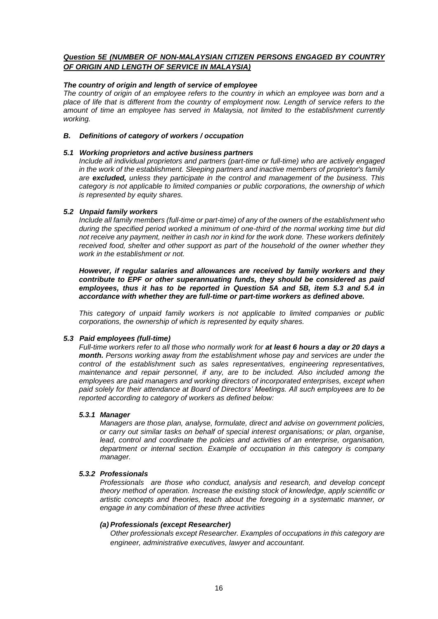# *Question 5E (NUMBER OF NON-MALAYSIAN CITIZEN PERSONS ENGAGED BY COUNTRY OF ORIGIN AND LENGTH OF SERVICE IN MALAYSIA)*

# *The country of origin and length of service of employee*

*The country of origin of an employee refers to the country in which an employee was born and a place of life that is different from the country of employment now. Length of service refers to the amount of time an employee has served in Malaysia, not limited to the establishment currently working.*

# *B. Definitions of category of workers / occupation*

# *5.1 Working proprietors and active business partners*

*Include all individual proprietors and partners (part-time or full-time) who are actively engaged in the work of the establishment. Sleeping partners and inactive members of proprietor's family are excluded, unless they participate in the control and management of the business. This category is not applicable to limited companies or public corporations, the ownership of which is represented by equity shares.*

# *5.2 Unpaid family workers*

*Include all family members (full-time or part-time) of any of the owners of the establishment who during the specified period worked a minimum of one-third of the normal working time but did not receive any payment, neither in cash nor in kind for the work done. These workers definitely received food, shelter and other support as part of the household of the owner whether they work in the establishment or not.*

*However, if regular salaries and allowances are received by family workers and they contribute to EPF or other superannuating funds, they should be considered as paid employees, thus it has to be reported in Question 5A and 5B, item 5.3 and 5.4 in accordance with whether they are full-time or part-time workers as defined above.*

*This category of unpaid family workers is not applicable to limited companies or public corporations, the ownership of which is represented by equity shares.*

# *5.3 Paid employees (full-time)*

*Full-time workers refer to all those who normally work for at least 6 hours a day or 20 days a month. Persons working away from the establishment whose pay and services are under the control of the establishment such as sales representatives, engineering representatives, maintenance and repair personnel, if any, are to be included. Also included among the employees are paid managers and working directors of incorporated enterprises, except when paid solely for their attendance at Board of Directors' Meetings. All such employees are to be reported according to category of workers as defined below:*

# *5.3.1 Manager*

*Managers are those plan, analyse, formulate, direct and advise on government policies, or carry out similar tasks on behalf of special interest organisations; or plan, organise, lead, control and coordinate the policies and activities of an enterprise, organisation, department or internal section. Example of occupation in this category is company manager.*

# *5.3.2 Professionals*

*Professionals are those who conduct, analysis and research, and develop concept theory method of operation. Increase the existing stock of knowledge, apply scientific or artistic concepts and theories, teach about the foregoing in a systematic manner, or engage in any combination of these three activities*

# *(a) Professionals (except Researcher)*

*Other professionals except Researcher. Examples of occupations in this category are engineer, administrative executives, lawyer and accountant.*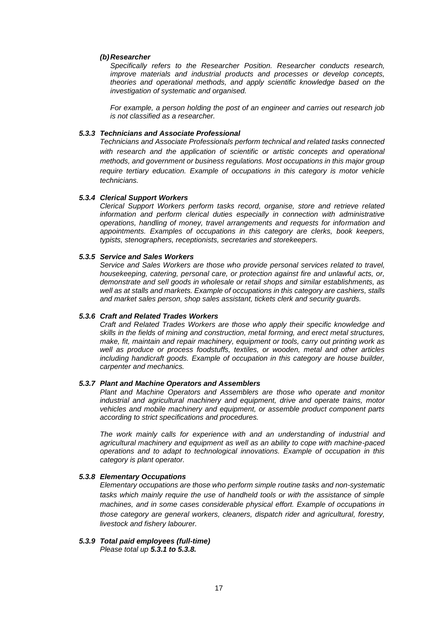## *(b)Researcher*

*Specifically refers to the Researcher Position. Researcher conducts research, improve materials and industrial products and processes or develop concepts, theories and operational methods, and apply scientific knowledge based on the investigation of systematic and organised.*

*For example, a person holding the post of an engineer and carries out research job is not classified as a researcher.* 

# *5.3.3 Technicians and Associate Professional*

*Technicians and Associate Professionals perform technical and related tasks connected*  with research and the application of scientific or artistic concepts and operational *methods, and government or business regulations. Most occupations in this major group require tertiary education. Example of occupations in this category is motor vehicle technicians.*

#### *5.3.4 Clerical Support Workers*

*Clerical Support Workers perform tasks record, organise, store and retrieve related information and perform clerical duties especially in connection with administrative operations, handling of money, travel arrangements and requests for information and appointments. Examples of occupations in this category are clerks, book keepers, typists, stenographers, receptionists, secretaries and storekeepers.*

## *5.3.5 Service and Sales Workers*

*Service and Sales Workers are those who provide personal services related to travel, housekeeping, catering, personal care, or protection against fire and unlawful acts, or, demonstrate and sell goods in wholesale or retail shops and similar establishments, as well as at stalls and markets. Example of occupations in this category are cashiers, stalls and market sales person, shop sales assistant, tickets clerk and security guards.*

#### *5.3.6 Craft and Related Trades Workers*

*Craft and Related Trades Workers are those who apply their specific knowledge and skills in the fields of mining and construction, metal forming, and erect metal structures, make, fit, maintain and repair machinery, equipment or tools, carry out printing work as well as produce or process foodstuffs, textiles, or wooden, metal and other articles including handicraft goods. Example of occupation in this category are house builder, carpenter and mechanics.* 

#### *5.3.7 Plant and Machine Operators and Assemblers*

*Plant and Machine Operators and Assemblers are those who operate and monitor industrial and agricultural machinery and equipment, drive and operate trains, motor vehicles and mobile machinery and equipment, or assemble product component parts according to strict specifications and procedures.* 

*The work mainly calls for experience with and an understanding of industrial and agricultural machinery and equipment as well as an ability to cope with machine-paced operations and to adapt to technological innovations. Example of occupation in this category is plant operator.*

#### *5.3.8 Elementary Occupations*

*Elementary occupations are those who perform simple routine tasks and non-systematic tasks which mainly require the use of handheld tools or with the assistance of simple machines, and in some cases considerable physical effort. Example of occupations in those category are general workers, cleaners, dispatch rider and agricultural, forestry, livestock and fishery labourer.*

# *5.3.9 Total paid employees (full-time)*

*Please total up 5.3.1 to 5.3.8.*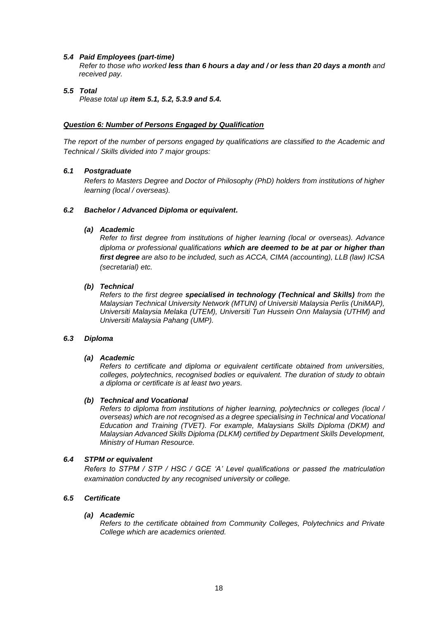# *5.4 Paid Employees (part-time)*

*Refer to those who worked less than 6 hours a day and / or less than 20 days a month and received pay.*

# *5.5 Total*

*Please total up item 5.1, 5.2, 5.3.9 and 5.4.*

# *Question 6: Number of Persons Engaged by Qualification*

*The report of the number of persons engaged by qualifications are classified to the Academic and Technical / Skills divided into 7 major groups:*

# *6.1 Postgraduate*

*Refers to Masters Degree and Doctor of Philosophy (PhD) holders from institutions of higher learning (local / overseas).*

# *6.2 Bachelor / Advanced Diploma or equivalent.*

# *(a) Academic*

*Refer to first degree from institutions of higher learning (local or overseas). Advance diploma or professional qualifications which are deemed to be at par or higher than first degree are also to be included, such as ACCA, CIMA (accounting), LLB (law) ICSA (secretarial) etc.*

# *(b) Technical*

*Refers to the first degree specialised in technology (Technical and Skills) from the Malaysian Technical University Network (MTUN) of Universiti Malaysia Perlis (UniMAP), Universiti Malaysia Melaka (UTEM), Universiti Tun Hussein Onn Malaysia (UTHM) and Universiti Malaysia Pahang (UMP).*

# *6.3 Diploma*

# *(a) Academic*

*Refers to certificate and diploma or equivalent certificate obtained from universities, colleges, polytechnics, recognised bodies or equivalent. The duration of study to obtain a diploma or certificate is at least two years.*

# *(b) Technical and Vocational*

*Refers to diploma from institutions of higher learning, polytechnics or colleges (local / overseas) which are not recognised as a degree specialising in Technical and Vocational Education and Training (TVET). For example, Malaysians Skills Diploma (DKM) and Malaysian Advanced Skills Diploma (DLKM) certified by Department Skills Development, Ministry of Human Resource.*

# *6.4 STPM or equivalent*

*Refers to STPM / STP / HSC / GCE 'A' Level qualifications or passed the matriculation examination conducted by any recognised university or college.*

# *6.5 Certificate*

# *(a) Academic*

*Refers to the certificate obtained from Community Colleges, Polytechnics and Private College which are academics oriented.*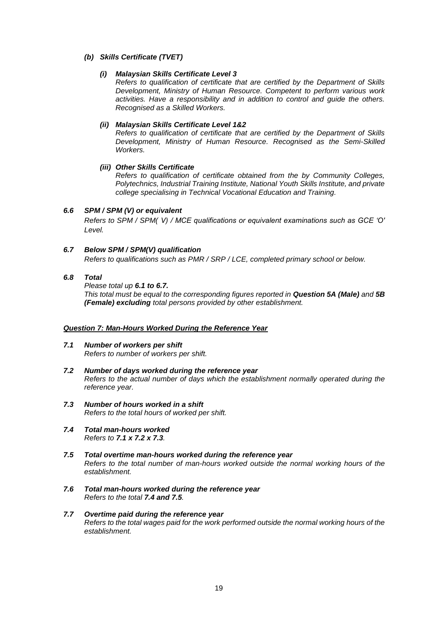# *(b) Skills Certificate (TVET)*

# *(i) Malaysian Skills Certificate Level 3*

*Refers to qualification of certificate that are certified by the Department of Skills Development, Ministry of Human Resource. Competent to perform various work activities. Have a responsibility and in addition to control and guide the others. Recognised as a Skilled Workers.*

# *(ii) Malaysian Skills Certificate Level 1&2*

*Refers to qualification of certificate that are certified by the Department of Skills Development, Ministry of Human Resource. Recognised as the Semi-Skilled Workers.*

# *(iii) Other Skills Certificate*

*Refers to qualification of certificate obtained from the by Community Colleges, Polytechnics, Industrial Training Institute, National Youth Skills Institute, and private college specialising in Technical Vocational Education and Training.*

# *6.6 SPM / SPM (V) or equivalent*

*Refers to SPM / SPM( V) / MCE qualifications or equivalent examinations such as GCE 'O' Level.*

# *6.7 Below SPM / SPM(V) qualification*

*Refers to qualifications such as PMR / SRP / LCE, completed primary school or below.* 

# *6.8 Total*

*Please total up 6.1 to 6.7. This total must be equal to the corresponding figures reported in Question 5A (Male) and 5B (Female) excluding total persons provided by other establishment.*

# *Question 7: Man-Hours Worked During the Reference Year*

- *7.1 Number of workers per shift Refers to number of workers per shift.*
- *7.2 Number of days worked during the reference year Refers to the actual number of days which the establishment normally operated during the reference year.*
- *7.3 Number of hours worked in a shift Refers to the total hours of worked per shift.*
- *7.4 Total man-hours worked Refers to 7.1 x 7.2 x 7.3.*
- *7.5 Total overtime man-hours worked during the reference year Refers to the total number of man-hours worked outside the normal working hours of the establishment.*
- *7.6 Total man-hours worked during the reference year Refers to the total 7.4 and 7.5.*
- *7.7 Overtime paid during the reference year Refers to the total wages paid for the work performed outside the normal working hours of the establishment.*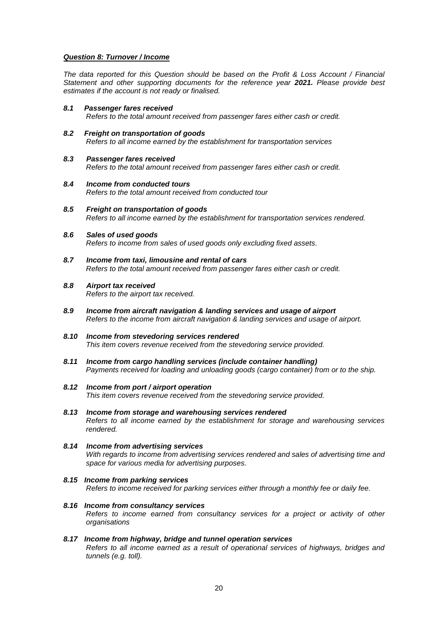# *Question 8: Turnover / Income*

*The data reported for this Question should be based on the Profit & Loss Account / Financial Statement and other supporting documents for the reference year 2021. Please provide best estimates if the account is not ready or finalised.*

- *8.1 Passenger fares received Refers to the total amount received from passenger fares either cash or credit.*
- *8.2 Freight on transportation of goods Refers to all income earned by the establishment for transportation services*
- *8.3 Passenger fares received Refers to the total amount received from passenger fares either cash or credit.*
- *8.4 Income from conducted tours Refers to the total amount received from conducted tour*
- *8.5 Freight on transportation of goods Refers to all income earned by the establishment for transportation services rendered.*
- *8.6 Sales of used goods Refers to income from sales of used goods only excluding fixed assets.*
- *8.7 Income from taxi, limousine and rental of cars Refers to the total amount received from passenger fares either cash or credit.*
- *8.8 Airport tax received Refers to the airport tax received.*
- *8.9 Income from aircraft navigation & landing services and usage of airport Refers to the income from aircraft navigation & landing services and usage of airport.*
- *8.10 Income from stevedoring services rendered This item covers revenue received from the stevedoring service provided.*
- *8.11 Income from cargo handling services (include container handling) Payments received for loading and unloading goods (cargo container) from or to the ship.*

# *8.12 Income from port / airport operation*

*This item covers revenue received from the stevedoring service provided.*

- *8.13 Income from storage and warehousing services rendered Refers to all income earned by the establishment for storage and warehousing services rendered.*
- *8.14 Income from advertising services With regards to income from advertising services rendered and sales of advertising time and space for various media for advertising purposes.*
- *8.15 Income from parking services Refers to income received for parking services either through a monthly fee or daily fee.*
- *8.16 Income from consultancy services Refers to income earned from consultancy services for a project or activity of other organisations*

# *8.17 Income from highway, bridge and tunnel operation services*

*Refers to all income earned as a result of operational services of highways, bridges and tunnels (e.g. toll).*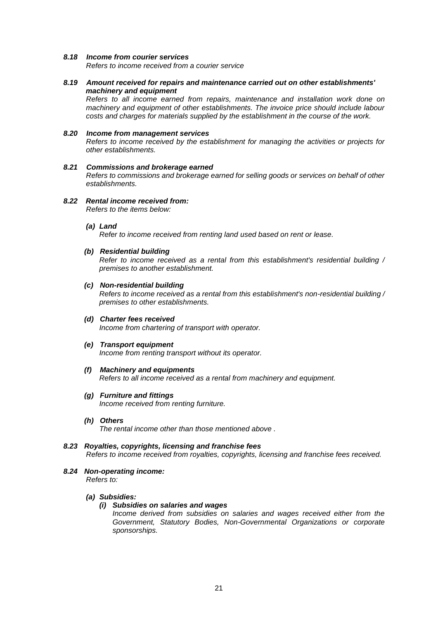# *8.18 Income from courier services*

*Refers to income received from a courier service*

# *8.19 Amount received for repairs and maintenance carried out on other establishments' machinery and equipment*

*Refers to all income earned from repairs, maintenance and installation work done on machinery and equipment of other establishments. The invoice price should include labour costs and charges for materials supplied by the establishment in the course of the work.*

# *8.20 Income from management services*

*Refers to income received by the establishment for managing the activities or projects for other establishments.*

# *8.21 Commissions and brokerage earned*

*Refers to commissions and brokerage earned for selling goods or services on behalf of other establishments.*

# *8.22 Rental income received from:*

*Refers to the items below:*

# *(a) Land*

*Refer to income received from renting land used based on rent or lease.*

# *(b) Residential building*

*Refer to income received as a rental from this establishment's residential building / premises to another establishment.*

# *(c) Non-residential building*

*Refers to income received as a rental from this establishment's non-residential building / premises to other establishments.*

*(d) Charter fees received Income from chartering of transport with operator.*

# *(e) Transport equipment*

*Income from renting transport without its operator.*

# *(f) Machinery and equipments*

*Refers to all income received as a rental from machinery and equipment.*

*(g) Furniture and fittings Income received from renting furniture.*

# *(h) Others*

*The rental income other than those mentioned above .*

- *8.23 Royalties, copyrights, licensing and franchise fees Refers to income received from royalties, copyrights, licensing and franchise fees received.*
- *8.24 Non-operating income: Refers to:*

# *(a) Subsidies:*

# *(i) Subsidies on salaries and wages*

*Income derived from subsidies on salaries and wages received either from the Government, Statutory Bodies, Non-Governmental Organizations or corporate sponsorships.*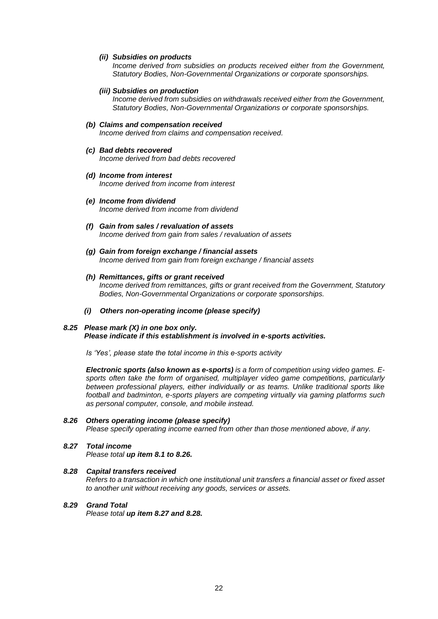#### *(ii) Subsidies on products*

*Income derived from subsidies on products received either from the Government, Statutory Bodies, Non-Governmental Organizations or corporate sponsorships.*

## *(iii) Subsidies on production*

*Income derived from subsidies on withdrawals received either from the Government, Statutory Bodies, Non-Governmental Organizations or corporate sponsorships.*

# *(b) Claims and compensation received*

*Income derived from claims and compensation received.*

### *(c) Bad debts recovered*

*Income derived from bad debts recovered*

## *(d) Income from interest*

*Income derived from income from interest*

- *(e) Income from dividend Income derived from income from dividend*
- *(f) Gain from sales / revaluation of assets Income derived from gain from sales / revaluation of assets*
- *(g) Gain from foreign exchange / financial assets Income derived from gain from foreign exchange / financial assets*
- *(h) Remittances, gifts or grant received Income derived from remittances, gifts or grant received from the Government, Statutory Bodies, Non-Governmental Organizations or corporate sponsorships.*

### *(i) Others non-operating income (please specify)*

#### *8.25 Please mark (X) in one box only. Please indicate if this establishment is involved in e-sports activities.*

*Is 'Yes', please state the total income in this e-sports activity*

*Electronic sports (also known as e-sports) is a form of competition using video games. Esports often take the form of organised, multiplayer video game competitions, particularly between professional players, either individually or as teams. Unlike traditional sports like football and badminton, e-sports players are competing virtually via gaming platforms such as personal computer, console, and mobile instead.*

#### *8.26 Others operating income (please specify)*

*Please specify operating income earned from other than those mentioned above, if any.*

# *8.27 Total income*

*Please total up item 8.1 to 8.26.*

## *8.28 Capital transfers received*

*Refers to a transaction in which one institutional unit transfers a financial asset or fixed asset to another unit without receiving any goods, services or assets.*

## *8.29 Grand Total*

*Please total up item 8.27 and 8.28.*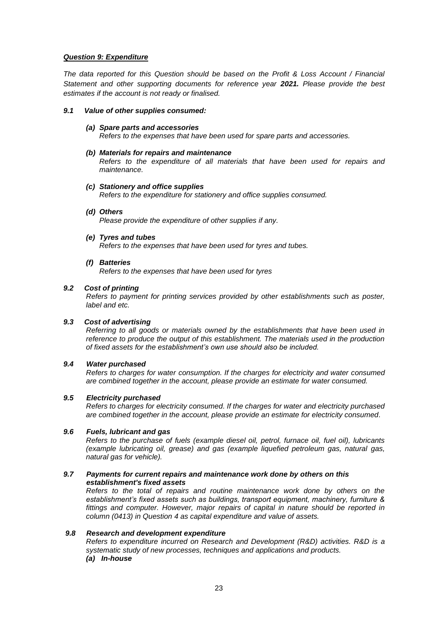# *Question 9: Expenditure*

*The data reported for this Question should be based on the Profit & Loss Account / Financial Statement and other supporting documents for reference year 2021. Please provide the best estimates if the account is not ready or finalised.*

# *9.1 Value of other supplies consumed:*

#### *(a) Spare parts and accessories Refers to the expenses that have been used for spare parts and accessories.*

## *(b) Materials for repairs and maintenance*

*Refers to the expenditure of all materials that have been used for repairs and maintenance.*

#### *(c) Stationery and office supplies*

*Refers to the expenditure for stationery and office supplies consumed.* 

#### *(d) Others*

*Please provide the expenditure of other supplies if any.*

#### *(e) Tyres and tubes*

*Refers to the expenses that have been used for tyres and tubes.*

#### *(f) Batteries*

*Refers to the expenses that have been used for tyres*

## *9.2 Cost of printing*

*Refers to payment for printing services provided by other establishments such as poster, label and etc.*

# *9.3 Cost of advertising*

*Referring to all goods or materials owned by the establishments that have been used in reference to produce the output of this establishment. The materials used in the production of fixed assets for the establishment's own use should also be included.*

# *9.4 Water purchased*

*Refers to charges for water consumption. If the charges for electricity and water consumed are combined together in the account, please provide an estimate for water consumed.*

# *9.5 Electricity purchased*

*Refers to charges for electricity consumed. If the charges for water and electricity purchased are combined together in the account, please provide an estimate for electricity consumed.*

#### *9.6 Fuels, lubricant and gas*

*Refers to the purchase of fuels (example diesel oil, petrol, furnace oil, fuel oil), lubricants (example lubricating oil, grease) and gas (example liquefied petroleum gas, natural gas, natural gas for vehicle).*

## *9.7 Payments for current repairs and maintenance work done by others on this establishment's fixed assets*

*Refers to the total of repairs and routine maintenance work done by others on the establishment's fixed assets such as buildings, transport equipment, machinery, furniture & fittings and computer. However, major repairs of capital in nature should be reported in column (0413) in Question 4 as capital expenditure and value of assets.* 

# *9.8 Research and development expenditure*

*Refers to expenditure incurred on Research and Development (R&D) activities. R&D is a systematic study of new processes, techniques and applications and products. (a) In-house*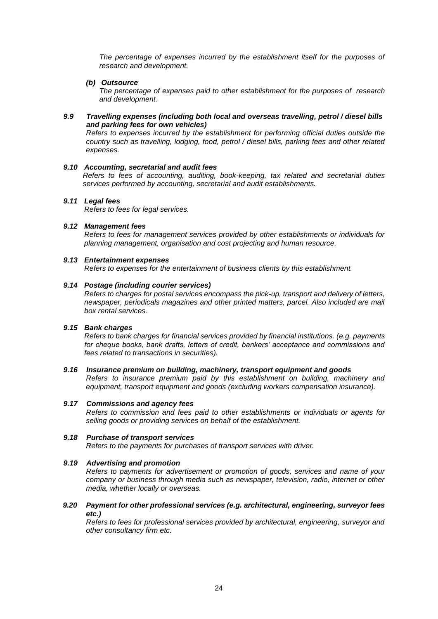*The percentage of expenses incurred by the establishment itself for the purposes of research and development.*

# *(b) Outsource*

*The percentage of expenses paid to other establishment for the purposes of research and development.*

# *9.9 Travelling expenses (including both local and overseas travelling, petrol / diesel bills and parking fees for own vehicles)*

*Refers to expenses incurred by the establishment for performing official duties outside the country such as travelling, lodging, food, petrol / diesel bills, parking fees and other related expenses.*

# *9.10 Accounting, secretarial and audit fees*

*Refers to fees of accounting, auditing, book-keeping, tax related and secretarial duties services performed by accounting, secretarial and audit establishments.*

# *9.11 Legal fees*

*Refers to fees for legal services.*

# *9.12 Management fees*

*Refers to fees for management services provided by other establishments or individuals for planning management, organisation and cost projecting and human resource.*

# *9.13 Entertainment expenses*

*Refers to expenses for the entertainment of business clients by this establishment.*

# *9.14 Postage (including courier services)*

*Refers to charges for postal services encompass the pick-up, transport and delivery of letters, newspaper, periodicals magazines and other printed matters, parcel. Also included are mail box rental services.*

# *9.15 Bank charges*

*Refers to bank charges for financial services provided by financial institutions. (e.g. payments for cheque books, bank drafts, letters of credit, bankers' acceptance and commissions and fees related to transactions in securities).*

# *9.16 Insurance premium on building, machinery, transport equipment and goods*

*Refers to insurance premium paid by this establishment on building, machinery and equipment, transport equipment and goods (excluding workers compensation insurance).*

# *9.17 Commissions and agency fees*

*Refers to commission and fees paid to other establishments or individuals or agents for selling goods or providing services on behalf of the establishment.*

# *9.18 Purchase of transport services*

*Refers to the payments for purchases of transport services with driver.*

# *9.19 Advertising and promotion*

*Refers to payments for advertisement or promotion of goods, services and name of your company or business through media such as newspaper, television, radio, internet or other media, whether locally or overseas.*

# *9.20 Payment for other professional services (e.g. architectural, engineering, surveyor fees etc.)*

*Refers to fees for professional services provided by architectural, engineering, surveyor and other consultancy firm etc.*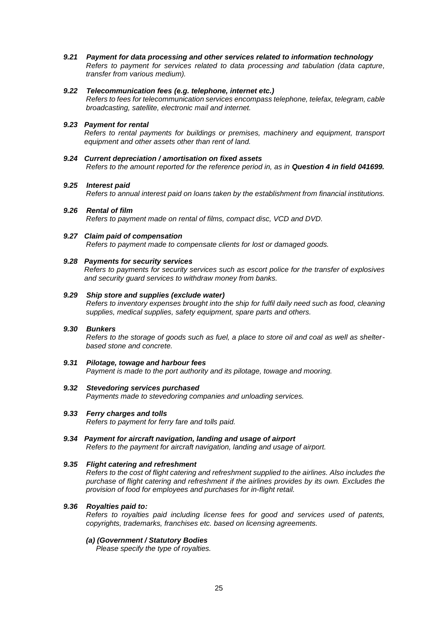*9.21 Payment for data processing and other services related to information technology*

*Refers to payment for services related to data processing and tabulation (data capture, transfer from various medium).*

## *9.22 Telecommunication fees (e.g. telephone, internet etc.)*

*Refers to fees for telecommunication services encompass telephone, telefax, telegram, cable broadcasting, satellite, electronic mail and internet.*

# *9.23 Payment for rental*

*Refers to rental payments for buildings or premises, machinery and equipment, transport equipment and other assets other than rent of land.*

*9.24 Current depreciation / amortisation on fixed assets Refers to the amount reported for the reference period in, as in Question 4 in field 041699.*

#### *9.25 Interest paid*

*Refers to annual interest paid on loans taken by the establishment from financial institutions.* 

- *9.26 Rental of film Refers to payment made on rental of films, compact disc, VCD and DVD.*
- *9.27 Claim paid of compensation Refers to payment made to compensate clients for lost or damaged goods.*

#### *9.28 Payments for security services*

*Refers to payments for security services such as escort police for the transfer of explosives and security guard services to withdraw money from banks.*

#### *9.29 Ship store and supplies (exclude water)*

*Refers to inventory expenses brought into the ship for fulfil daily need such as food, cleaning supplies, medical supplies, safety equipment, spare parts and others.*

# *9.30 Bunkers*

*Refers to the storage of goods such as fuel, a place to store oil and coal as well as shelterbased stone and concrete.*

- *9.31 Pilotage, towage and harbour fees Payment is made to the port authority and its pilotage, towage and mooring.*
- *9.32 Stevedoring services purchased Payments made to stevedoring companies and unloading services.*
- *9.33 Ferry charges and tolls Refers to payment for ferry fare and tolls paid.*
- *9.34 Payment for aircraft navigation, landing and usage of airport Refers to the payment for aircraft navigation, landing and usage of airport.*

# *9.35 Flight catering and refreshment*

*Refers to the cost of flight catering and refreshment supplied to the airlines. Also includes the purchase of flight catering and refreshment if the airlines provides by its own. Excludes the provision of food for employees and purchases for in-flight retail.*

# *9.36 Royalties paid to:*

*Refers to royalties paid including license fees for good and services used of patents, copyrights, trademarks, franchises etc. based on licensing agreements.*

#### *(a) (Government / Statutory Bodies*

*Please specify the type of royalties.*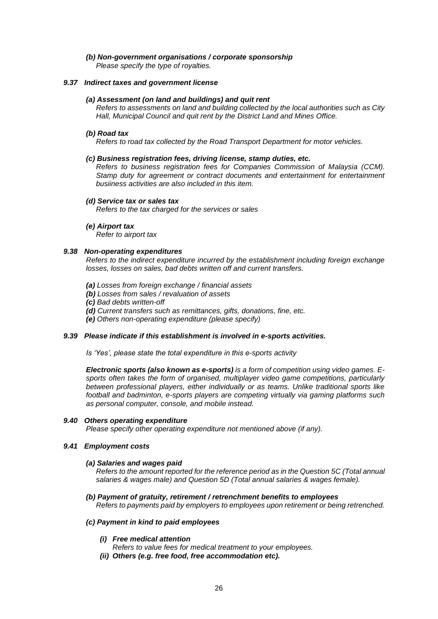# *(b) Non-government organisations / corporate sponsorship*

*Please specify the type of royalties.*

## *9.37 Indirect taxes and government license*

## *(a) Assessment (on land and buildings) and quit rent*

*Refers to assessments on land and building collected by the local authorities such as City Hall, Municipal Council and quit rent by the District Land and Mines Office.*

#### *(b) Road tax*

*Refers to road tax collected by the Road Transport Department for motor vehicles.*

#### *(c) Business registration fees, driving license, stamp duties, etc.*

*Refers to business registration fees for Companies Commission of Malaysia (CCM). Stamp duty for agreement or contract documents and entertainment for entertainment busiiness activities are also included in this item.*

# *(d) Service tax or sales tax*

*Refers to the tax charged for the services or sales*

#### *(e) Airport tax*

*Refer to airport tax*

# *9.38 Non-operating expenditures*

*Refers to the indirect expenditure incurred by the establishment including foreign exchange losses, losses on sales, bad debts written off and current transfers.*

*(a) Losses from foreign exchange / financial assets*

*(b) Losses from sales / revaluation of assets*

*(c) Bad debts written-off*

*(d) Current transfers such as remittances, gifts, donations, fine, etc.*

*(e) Others non-operating expenditure (please specify)*

### *9.39 Please indicate if this establishment is involved in e-sports activities.*

*Is 'Yes', please state the total expenditure in this e-sports activity*

*Electronic sports (also known as e-sports) is a form of competition using video games. Esports often takes the form of organised, multiplayer video game competitions, particularly between professional players, either individually or as teams. Unlike traditional sports like football and badminton, e-sports players are competing virtually via gaming platforms such as personal computer, console, and mobile instead.*

#### *9.40 Others operating expenditure*

*Please specify other operating expenditure not mentioned above (if any).*

# *9.41 Employment costs*

#### *(a) Salaries and wages paid*

*Refers to the amount reported for the reference period as in the Question 5C (Total annual salaries & wages male) and Question 5D (Total annual salaries & wages female).*

*(b) Payment of gratuity, retirement / retrenchment benefits to employees Refers to payments paid by employers to employees upon retirement or being retrenched.*

## *(c) Payment in kind to paid employees*

- *(i) Free medical attention*
	- *Refers to value fees for medical treatment to your employees.*
- *(ii) Others (e.g. free food, free accommodation etc).*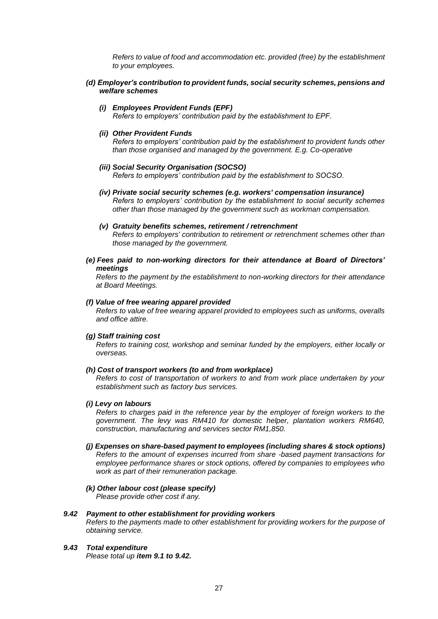*Refers to value of food and accommodation etc. provided (free) by the establishment to your employees.* 

*(d) Employer's contribution to provident funds, social security schemes, pensions and welfare schemes*

### *(i) Employees Provident Funds (EPF)*

*Refers to employers' contribution paid by the establishment to EPF.*

*(ii) Other Provident Funds*

*Refers to employers' contribution paid by the establishment to provident funds other than those organised and managed by the government. E.g. Co-operative*

- *(iii) Social Security Organisation (SOCSO) Refers to employers' contribution paid by the establishment to SOCSO.*
- *(iv) Private social security schemes (e.g. workers' compensation insurance) Refers to employers' contribution by the establishment to social security schemes other than those managed by the government such as workman compensation.*
- *(v) Gratuity benefits schemes, retirement / retrenchment Refers to employers' contribution to retirement or retrenchment schemes other than those managed by the government.*
- *(e) Fees paid to non-working directors for their attendance at Board of Directors' meetings*

*Refers to the payment by the establishment to non-working directors for their attendance at Board Meetings.*

## *(f) Value of free wearing apparel provided*

*Refers to value of free wearing apparel provided to employees such as uniforms, overalls and office attire.*

#### *(g) Staff training cost*

*Refers to training cost, workshop and seminar funded by the employers, either locally or overseas.*

#### *(h) Cost of transport workers (to and from workplace)*

*Refers to cost of transportation of workers to and from work place undertaken by your establishment such as factory bus services.*

#### *(i) Levy on labours*

*Refers to charges paid in the reference year by the employer of foreign workers to the government. The levy was RM410 for domestic helper, plantation workers RM640, construction, manufacturing and services sector RM1,850.*

- *(j) Expenses on share-based payment to employees (including shares & stock options) Refers to the amount of expenses incurred from share -based payment transactions for employee performance shares or stock options, offered by companies to employees who work as part of their remuneration package.*
- *(k) Other labour cost (please specify) Please provide other cost if any.*

# *9.42 Payment to other establishment for providing workers*

*Refers to the payments made to other establishment for providing workers for the purpose of obtaining service.*

# *9.43 Total expenditure*

*Please total up item 9.1 to 9.42.*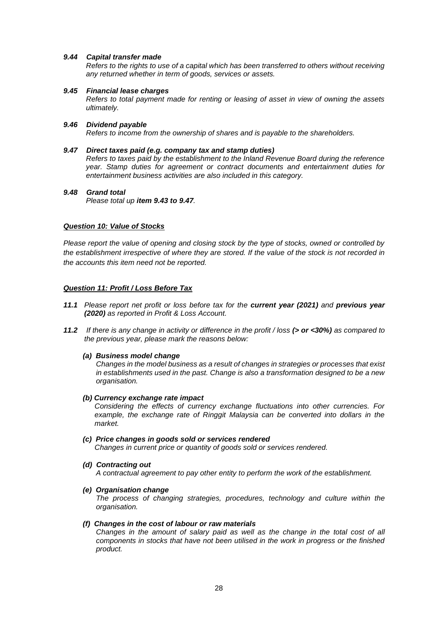# *9.44 Capital transfer made*

*Refers to the rights to use of a capital which has been transferred to others without receiving any returned whether in term of goods, services or assets.*

## *9.45 Financial lease charges*

*Refers to total payment made for renting or leasing of asset in view of owning the assets ultimately.*

# *9.46 Dividend payable*

*Refers to income from the ownership of shares and is payable to the shareholders.*

## *9.47 Direct taxes paid (e.g. company tax and stamp duties)*

*Refers to taxes paid by the establishment to the Inland Revenue Board during the reference year. Stamp duties for agreement or contract documents and entertainment duties for entertainment business activities are also included in this category.*

# *9.48 Grand total*

*Please total up item 9.43 to 9.47.*

# *Question 10: Value of Stocks*

*Please report the value of opening and closing stock by the type of stocks, owned or controlled by the establishment irrespective of where they are stored. If the value of the stock is not recorded in the accounts this item need not be reported.*

# *Question 11: Profit / Loss Before Tax*

- *11.1 Please report net profit or loss before tax for the current year (2021) and previous year (2020) as reported in Profit & Loss Account.*
- *11.2 If there is any change in activity or difference in the profit / loss (> or <30%) as compared to the previous year, please mark the reasons below:*

# *(a) Business model change*

*Changes in the model business as a result of changes in strategies or processes that exist in establishments used in the past. Change is also a transformation designed to be a new organisation.*

*(b) Currency exchange rate impact*

*Considering the effects of currency exchange fluctuations into other currencies. For example, the exchange rate of Ringgit Malaysia can be converted into dollars in the market.*

- *(c) Price changes in goods sold or services rendered*
	- *Changes in current price or quantity of goods sold or services rendered.*
- *(d) Contracting out*

*A contractual agreement to pay other entity to perform the work of the establishment.*

*(e) Organisation change*

*The process of changing strategies, procedures, technology and culture within the organisation.*

# *(f) Changes in the cost of labour or raw materials*

*Changes in the amount of salary paid as well as the change in the total cost of all components in stocks that have not been utilised in the work in progress or the finished product.*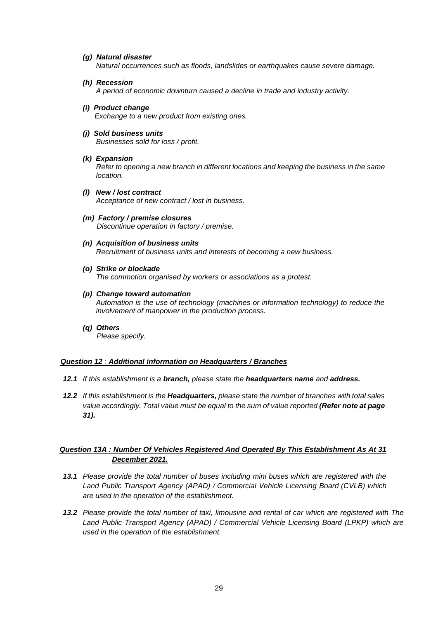# *(g) Natural disaster*

*Natural occurrences such as floods, landslides or earthquakes cause severe damage.*

*(h) Recession*

*A period of economic downturn caused a decline in trade and industry activity.*

- *(i) Product change Exchange to a new product from existing ones.*
- *(j) Sold business units Businesses sold for loss / profit.*
- *(k) Expansion*

*Refer to opening a new branch in different locations and keeping the business in the same location.*

- *(l) New / lost contract Acceptance of new contract / lost in business.*
- *(m) Factory / premise closures Discontinue operation in factory / premise.*
- *(n) Acquisition of business units Recruitment of business units and interests of becoming a new business.*
- *(o) Strike or blockade The commotion organised by workers or associations as a protest.*
- *(p) Change toward automation Automation is the use of technology (machines or information technology) to reduce the involvement of manpower in the production process.*
- *(q) Others Please specify.*

# *Question 12 : Additional information on Headquarters / Branches*

- *12.1 If this establishment is a branch, please state the headquarters name and address.*
- *12.2 If this establishment is the Headquarters, please state the number of branches with total sales value accordingly. Total value must be equal to the sum of value reported (Refer note at page 31).*

# *Question 13A : Number Of Vehicles Registered And Operated By This Establishment As At 31 December 2021.*

- *13.1 Please provide the total number of buses including mini buses which are registered with the Land Public Transport Agency (APAD) / Commercial Vehicle Licensing Board (CVLB) which are used in the operation of the establishment.*
- *13.2 Please provide the total number of taxi, limousine and rental of car which are registered with The Land Public Transport Agency (APAD) / Commercial Vehicle Licensing Board (LPKP) which are used in the operation of the establishment.*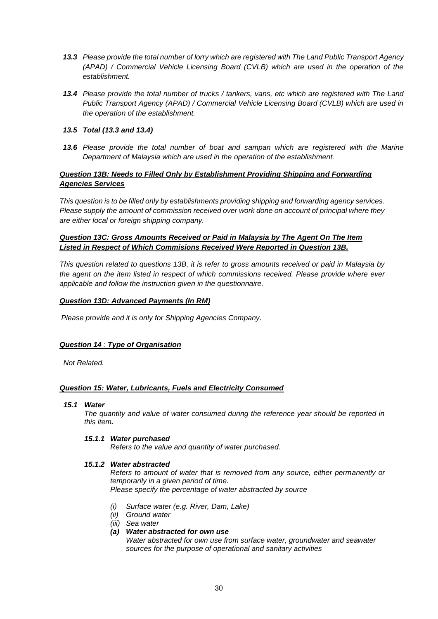- *13.3 Please provide the total number of lorry which are registered with The Land Public Transport Agency (APAD) / Commercial Vehicle Licensing Board (CVLB) which are used in the operation of the establishment.*
- *13.4 Please provide the total number of trucks / tankers, vans, etc which are registered with The Land Public Transport Agency (APAD) / Commercial Vehicle Licensing Board (CVLB) which are used in the operation of the establishment.*

# *13.5 Total (13.3 and 13.4)*

*13.6 Please provide the total number of boat and sampan which are registered with the Marine Department of Malaysia which are used in the operation of the establishment.*

# *Question 13B: Needs to Filled Only by Establishment Providing Shipping and Forwarding Agencies Services*

*This question is to be filled only by establishments providing shipping and forwarding agency services. Please supply the amount of commission received over work done on account of principal where they are either local or foreign shipping company.*

# *Question 13C: Gross Amounts Received or Paid in Malaysia by The Agent On The Item Listed in Respect of Which Commisions Received Were Reported in Question 13B.*

*This question related to questions 13B, it is refer to gross amounts received or paid in Malaysia by the agent on the item listed in respect of which commissions received. Please provide where ever applicable and follow the instruction given in the questionnaire.*

# *Question 13D: Advanced Payments (In RM)*

*Please provide and it is only for Shipping Agencies Company.*

# *Question 14 : Type of Organisation*

*Not Related.*

# *Question 15: Water, Lubricants, Fuels and Electricity Consumed*

*15.1 Water*

*The quantity and value of water consumed during the reference year should be reported in this item.* 

# *15.1.1 Water purchased*

*Refers to the value and quantity of water purchased.*

# *15.1.2 Water abstracted*

*Refers to amount of water that is removed from any source, either permanently or temporarily in a given period of time. Please specify the percentage of water abstracted by source*

- *(i) Surface water (e.g. River, Dam, Lake)*
- *(ii) Ground water*
- *(iii) Sea water*
- *(a) Water abstracted for own use*

*Water abstracted for own use from surface water, groundwater and seawater sources for the purpose of operational and sanitary activities*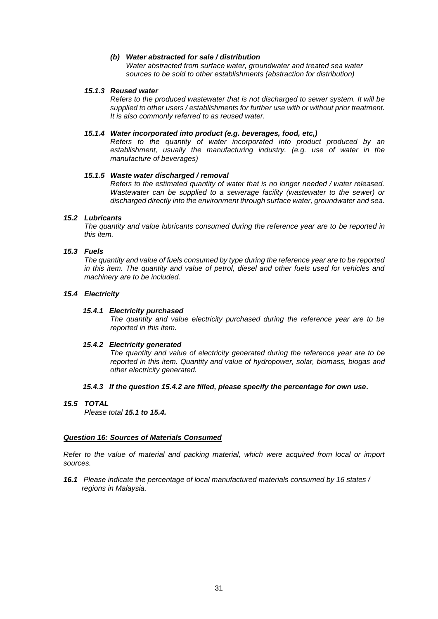# *(b) Water abstracted for sale / distribution*

*Water abstracted from surface water, groundwater and treated sea water sources to be sold to other establishments (abstraction for distribution)*

## *15.1.3 Reused water*

*Refers to the produced wastewater that is not discharged to sewer system. It will be supplied to other users / establishments for further use with or without prior treatment. It is also commonly referred to as reused water.*

# *15.1.4 Water incorporated into product (e.g. beverages, food, etc,)*

*Refers to the quantity of water incorporated into product produced by an establishment, usually the manufacturing industry. (e.g. use of water in the manufacture of beverages)*

# *15.1.5 Waste water discharged / removal*

*Refers to the estimated quantity of water that is no longer needed / water released. Wastewater can be supplied to a sewerage facility (wastewater to the sewer) or discharged directly into the environment through surface water, groundwater and sea.*

# *15.2 Lubricants*

*The quantity and value lubricants consumed during the reference year are to be reported in this item.*

#### *15.3 Fuels*

*The quantity and value of fuels consumed by type during the reference year are to be reported in this item. The quantity and value of petrol, diesel and other fuels used for vehicles and machinery are to be included.*

# *15.4 Electricity*

## *15.4.1 Electricity purchased*

*The quantity and value electricity purchased during the reference year are to be reported in this item.*

# *15.4.2 Electricity generated*

*The quantity and value of electricity generated during the reference year are to be reported in this item. Quantity and value of hydropower, solar, biomass, biogas and other electricity generated.*

# *15.4.3 If the question 15.4.2 are filled, please specify the percentage for own use.*

## *15.5 TOTAL*

*Please total 15.1 to 15.4.*

# *Question 16: Sources of Materials Consumed*

*Refer to the value of material and packing material, which were acquired from local or import sources.*

*16.1 Please indicate the percentage of local manufactured materials consumed by 16 states / regions in Malaysia.*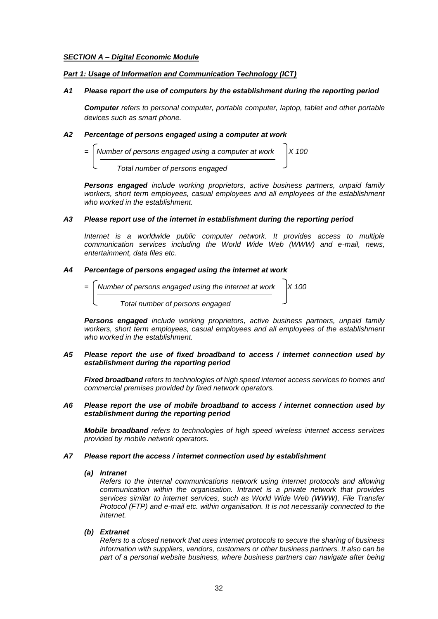# *SECTION A – Digital Economic Module*

# *Part 1: Usage of Information and Communication Technology (ICT)*

# *A1 Please report the use of computers by the establishment during the reporting period*

*Computer refers to personal computer, portable computer, laptop, tablet and other portable devices such as smart phone.*

# *A2 Percentage of persons engaged using a computer at work*

**Number of persons engaged using a computer at work**  *Total number of persons engaged*

*Persons engaged include working proprietors, active business partners, unpaid family workers, short term employees, casual employees and all employees of the establishment who worked in the establishment.*

# *A3 Please report use of the internet in establishment during the reporting period*

*Internet is a worldwide public computer network. It provides access to multiple communication services including the World Wide Web (WWW) and e-mail, news, entertainment, data files etc.*

# *A4 Percentage of persons engaged using the internet at work*

$$
= \left[\frac{\text{Number of persons engaged using the internet at work}}{\text{Total number of persons engaged}}\right] \times 100
$$

*Persons engaged include working proprietors, active business partners, unpaid family workers, short term employees, casual employees and all employees of the establishment who worked in the establishment.*

# *A5 Please report the use of fixed broadband to access / internet connection used by establishment during the reporting period*

*Fixed broadband refers to technologies of high speed internet access services to homes and commercial premises provided by fixed network operators.*

# *A6 Please report the use of mobile broadband to access / internet connection used by establishment during the reporting period*

*Mobile broadband refers to technologies of high speed wireless internet access services provided by mobile network operators.*

# *A7 Please report the access / internet connection used by establishment*

# *(a) Intranet*

*Refers to the internal communications network using internet protocols and allowing communication within the organisation. Intranet is a private network that provides services similar to internet services, such as World Wide Web (WWW), File Transfer Protocol (FTP) and e-mail etc. within organisation. It is not necessarily connected to the internet.*

# *(b) Extranet*

*Refers to a closed network that uses internet protocols to secure the sharing of business information with suppliers, vendors, customers or other business partners. It also can be part of a personal website business, where business partners can navigate after being*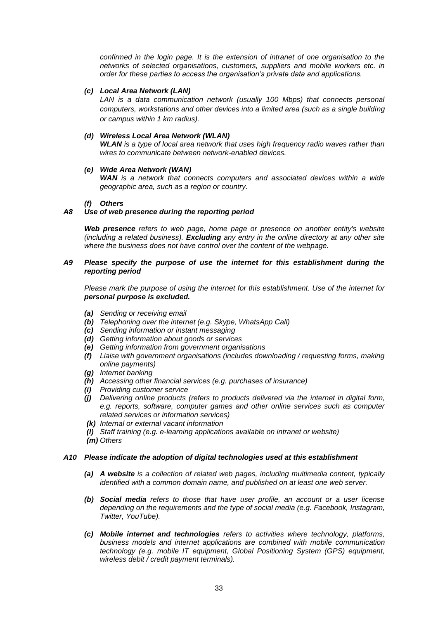*confirmed in the login page. It is the extension of intranet of one organisation to the networks of selected organisations, customers, suppliers and mobile workers etc. in order for these parties to access the organisation's private data and applications.*

# *(c) Local Area Network (LAN)*

*LAN is a data communication network (usually 100 Mbps) that connects personal computers, workstations and other devices into a limited area (such as a single building or campus within 1 km radius).*

# *(d) Wireless Local Area Network (WLAN)*

*WLAN is a type of local area network that uses high frequency radio waves rather than wires to communicate between network-enabled devices.*

# *(e) Wide Area Network (WAN)*

*WAN is a network that connects computers and associated devices within a wide geographic area, such as a region or country.*

# *(f) Others*

# *A8 Use of web presence during the reporting period*

*Web presence refers to web page, home page or presence on another entity's website (including a related business). Excluding any entry in the online directory at any other site where the business does not have control over the content of the webpage.*

# *A9 Please specify the purpose of use the internet for this establishment during the reporting period*

*Please mark the purpose of using the internet for this establishment. Use of the internet for personal purpose is excluded.*

- *(a) Sending or receiving email*
- *(b) Telephoning over the internet (e.g. Skype, WhatsApp Call)*
- *(c) Sending information or instant messaging*
- *(d) Getting information about goods or services*
- *(e) Getting information from government organisations*
- *(f) Liaise with government organisations (includes downloading / requesting forms, making online payments)*
- *(g) Internet banking*
- *(h) Accessing other financial services (e.g. purchases of insurance)*
- *(i) Providing customer service*
- *(j) Delivering online products (refers to products delivered via the internet in digital form, e.g. reports, software, computer games and other online services such as computer related services or information services)*
- *(k) Internal or external vacant information*
- *(l) Staff training (e.g. e-learning applications available on intranet or website)*
- *(m) Others*

# *A10 Please indicate the adoption of digital technologies used at this establishment*

- *(a) A website is a collection of related web pages, including multimedia content, typically identified with a common domain name, and published on at least one web server.*
- *(b) Social media refers to those that have user profile, an account or a user license depending on the requirements and the type of social media (e.g. Facebook, Instagram, Twitter, YouTube).*
- *(c) Mobile internet and technologies refers to activities where technology, platforms, business models and internet applications are combined with mobile communication technology (e.g. mobile IT equipment, Global Positioning System (GPS) equipment, wireless debit / credit payment terminals).*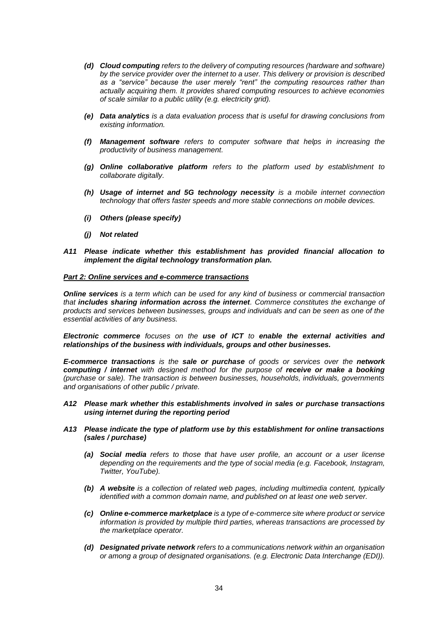- *(d) Cloud computing refers to the delivery of computing resources (hardware and software) by the service provider over the internet to a user. This delivery or provision is described as a "service" because the user merely "rent" the computing resources rather than actually acquiring them. It provides shared computing resources to achieve economies of scale similar to a public utility (e.g. electricity grid).*
- *(e) Data analytics is a data evaluation process that is useful for drawing conclusions from existing information.*
- *(f) Management software refers to computer software that helps in increasing the productivity of business management.*
- *(g) Online collaborative platform refers to the platform used by establishment to collaborate digitally.*
- *(h) Usage of internet and 5G technology necessity is a mobile internet connection technology that offers faster speeds and more stable connections on mobile devices.*
- *(i) Others (please specify)*
- *(j) Not related*
- *A11 Please indicate whether this establishment has provided financial allocation to implement the digital technology transformation plan.*

# *Part 2: Online services and e-commerce transactions*

*Online services is a term which can be used for any kind of business or commercial transaction that includes sharing information across the internet. Commerce constitutes the exchange of products and services between businesses, groups and individuals and can be seen as one of the essential activities of any business.* 

*Electronic commerce focuses on the use of ICT to enable the external activities and relationships of the business with individuals, groups and other businesses.*

*E-commerce transactions is the sale or purchase of goods or services over the network computing / internet with designed method for the purpose of receive or make a booking (purchase or sale). The transaction is between businesses, households, individuals, governments and organisations of other public / private.* 

- *A12 Please mark whether this establishments involved in sales or purchase transactions using internet during the reporting period*
- *A13 Please indicate the type of platform use by this establishment for online transactions (sales / purchase)*
	- *(a) Social media refers to those that have user profile, an account or a user license depending on the requirements and the type of social media (e.g. Facebook, Instagram, Twitter, YouTube).*
	- *(b) A website is a collection of related web pages, including multimedia content, typically identified with a common domain name, and published on at least one web server.*
	- *(c) Online e-commerce marketplace is a type of e-commerce site where product or service information is provided by multiple third parties, whereas transactions are processed by the marketplace operator.*
	- *(d) Designated private network refers to a communications network within an organisation or among a group of designated organisations. (e.g. Electronic Data Interchange (EDI)).*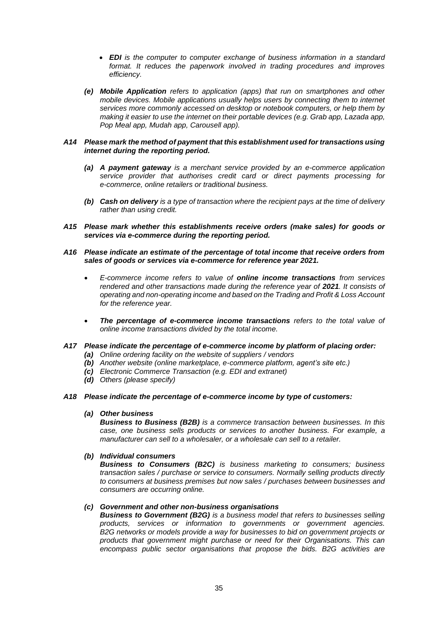- *EDI is the computer to computer exchange of business information in a standard format. It reduces the paperwork involved in trading procedures and improves efficiency.*
- *(e) Mobile Application refers to application (apps) that run on smartphones and other mobile devices. Mobile applications usually helps users by connecting them to internet services more commonly accessed on desktop or notebook computers, or help them by making it easier to use the internet on their portable devices (e.g. Grab app, Lazada app, Pop Meal app, Mudah app, Carousell app).*

## *A14 Please mark the method of payment that this establishment used for transactions using internet during the reporting period.*

- *(a) A payment gateway is a merchant service provided by an e-commerce application service provider that authorises credit card or direct payments processing for e-commerce, online retailers or traditional business.*
- *(b) Cash on delivery is a type of transaction where the recipient pays at the time of delivery rather than using credit.*
- *A15 Please mark whether this establishments receive orders (make sales) for goods or services via e-commerce during the reporting period.*
- *A16 Please indicate an estimate of the percentage of total income that receive orders from sales of goods or services via e-commerce for reference year 2021.*
	- *E-commerce income refers to value of online income transactions from services rendered and other transactions made during the reference year of 2021. It consists of operating and non-operating income and based on the Trading and Profit & Loss Account for the reference year.*
	- *The percentage of e-commerce income transactions refers to the total value of online income transactions divided by the total income.*
- *A17 Please indicate the percentage of e-commerce income by platform of placing order:*
	- *(a) Online ordering facility on the website of suppliers / vendors*
	- *(b) Another website (online marketplace, e-commerce platform, agent's site etc.)*
	- *(c) Electronic Commerce Transaction (e.g. EDI and extranet)*
	- *(d) Others (please specify)*

# *A18 Please indicate the percentage of e-commerce income by type of customers:*

# *(a) Other business*

*Business to Business (B2B) is a commerce transaction between businesses. In this case, one business sells products or services to another business. For example, a manufacturer can sell to a wholesaler, or a wholesale can sell to a retailer.*

# *(b) Individual consumers*

*Business to Consumers (B2C) is business marketing to consumers; business transaction sales / purchase or service to consumers. Normally selling products directly to consumers at business premises but now sales / purchases between businesses and consumers are occurring online.*

# *(c) Government and other non-business organisations*

*Business to Government (B2G) is a business model that refers to businesses selling products, services or information to governments or government agencies. B2G networks or models provide a way for businesses to bid on government projects or products that government might purchase or need for their Organisations. This can encompass public sector organisations that propose the bids. B2G activities are*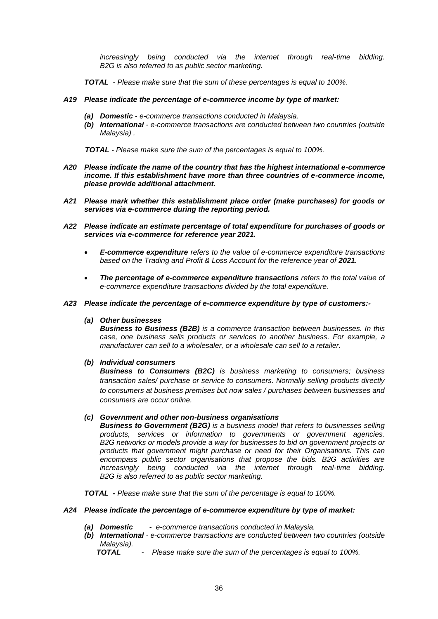*increasingly being conducted via the internet through real-time bidding. B2G is also referred to as public sector marketing.*

*TOTAL - Please make sure that the sum of these percentages is equal to 100%.*

## *A19 Please indicate the percentage of e-commerce income by type of market:*

- *(a) Domestic - e-commerce transactions conducted in Malaysia.*
- *(b) International - e-commerce transactions are conducted between two countries (outside Malaysia) .*

 *TOTAL - Please make sure the sum of the percentages is equal to 100%.*

- *A20 Please indicate the name of the country that has the highest international e-commerce income. If this establishment have more than three countries of e-commerce income, please provide additional attachment.*
- *A21 Please mark whether this establishment place order (make purchases) for goods or services via e-commerce during the reporting period.*
- *A22 Please indicate an estimate percentage of total expenditure for purchases of goods or services via e-commerce for reference year 2021.*
	- *E-commerce expenditure refers to the value of e-commerce expenditure transactions*  based on the Trading and Profit & Loss Account for the reference year of 2021.
	- *The percentage of e-commerce expenditure transactions refers to the total value of e-commerce expenditure transactions divided by the total expenditure.*
- *A23 Please indicate the percentage of e-commerce expenditure by type of customers:-*
	- *(a) Other businesses*

*Business to Business (B2B) is a commerce transaction between businesses. In this case, one business sells products or services to another business. For example, a manufacturer can sell to a wholesaler, or a wholesale can sell to a retailer.*

*(b) Individual consumers* 

*Business to Consumers (B2C) is business marketing to consumers; business transaction sales/ purchase or service to consumers. Normally selling products directly to consumers at business premises but now sales / purchases between businesses and consumers are occur online.*

#### *(c) Government and other non-business organisations*

*Business to Government (B2G) is a business model that refers to businesses selling products, services or information to governments or government agencies. B2G networks or models provide a way for businesses to bid on government projects or products that government might purchase or need for their Organisations. This can encompass public sector organisations that propose the bids. B2G activities are increasingly being conducted via the internet through real-time bidding. B2G is also referred to as public sector marketing.*

*TOTAL - Please make sure that the sum of the percentage is equal to 100%.*

#### *A24 Please indicate the percentage of e-commerce expenditure by type of market:*

- *(a) Domestic e-commerce transactions conducted in Malaysia.*
- *(b) International - e-commerce transactions are conducted between two countries (outside Malaysia).*
	- *TOTAL Please make sure the sum of the percentages is equal to 100%.*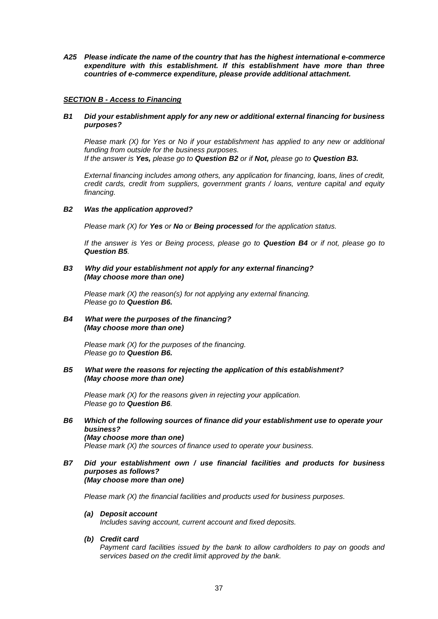*A25 Please indicate the name of the country that has the highest international e-commerce expenditure with this establishment. If this establishment have more than three countries of e-commerce expenditure, please provide additional attachment.*

# *SECTION B - Access to Financing*

# *B1 Did your establishment apply for any new or additional external financing for business purposes?*

 *Please mark (X) for Yes or No if your establishment has applied to any new or additional funding from outside for the business purposes. If the answer is Yes, please go to Question B2 or if Not, please go to Question B3.*

*External financing includes among others, any application for financing, loans, lines of credit, credit cards, credit from suppliers, government grants / loans, venture capital and equity financing.*

# *B2 Was the application approved?*

*Please mark (X) for Yes or No or Being processed for the application status.*

*If the answer is Yes or Being process, please go to Question B4 or if not, please go to Question B5.*

## *B3 Why did your establishment not apply for any external financing? (May choose more than one)*

*Please mark (X) the reason(s) for not applying any external financing. Please go to Question B6.*

# *B4 What were the purposes of the financing? (May choose more than one)*

*Please mark (X) for the purposes of the financing. Please go to Question B6.*

# *B5 What were the reasons for rejecting the application of this establishment? (May choose more than one)*

*Please mark (X) for the reasons given in rejecting your application. Please go to Question B6.*

## *B6 Which of the following sources of finance did your establishment use to operate your business? (May choose more than one) Please mark (X) the sources of finance used to operate your business.*

#### *B7 Did your establishment own / use financial facilities and products for business purposes as follows? (May choose more than one)*

*Please mark (X) the financial facilities and products used for business purposes.* 

# *(a) Deposit account*

*Includes saving account, current account and fixed deposits.*

*(b) Credit card*

*Payment card facilities issued by the bank to allow cardholders to pay on goods and services based on the credit limit approved by the bank.*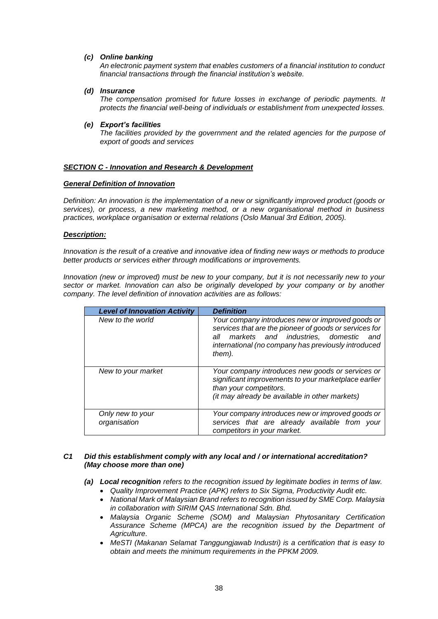# *(c) Online banking*

*An electronic payment system that enables customers of a financial institution to conduct financial transactions through the financial institution's website.*

# *(d) Insurance*

*The compensation promised for future losses in exchange of periodic payments. It protects the financial well-being of individuals or establishment from unexpected losses.*

# *(e) Export's facilities*

*The facilities provided by the government and the related agencies for the purpose of export of goods and services*

# *SECTION C - Innovation and Research & Development*

# *General Definition of Innovation*

*Definition: An innovation is the implementation of a new or significantly improved product (goods or services), or process, a new marketing method, or a new organisational method in business practices, workplace organisation or external relations (Oslo Manual 3rd Edition, 2005).*

# *Description:*

*Innovation is the result of a creative and innovative idea of finding new ways or methods to produce better products or services either through modifications or improvements.*

*Innovation (new or improved) must be new to your company, but it is not necessarily new to your sector or market. Innovation can also be originally developed by your company or by another company. The level definition of innovation activities are as follows:*

| <b>Level of Innovation Activity</b> | <b>Definition</b>                                                                                                                                                                                                             |  |
|-------------------------------------|-------------------------------------------------------------------------------------------------------------------------------------------------------------------------------------------------------------------------------|--|
| New to the world                    | Your company introduces new or improved goods or<br>services that are the pioneer of goods or services for<br>markets and industries, domestic<br>all<br>and<br>international (no company has previously introduced<br>them). |  |
| New to your market                  | Your company introduces new goods or services or<br>significant improvements to your marketplace earlier<br>than your competitors.<br>(it may already be available in other markets)                                          |  |
| Only new to your<br>organisation    | Your company introduces new or improved goods or<br>services that are already available from your<br>competitors in your market.                                                                                              |  |

# *C1 Did this establishment comply with any local and / or international accreditation? (May choose more than one)*

*(a) Local recognition refers to the recognition issued by legitimate bodies in terms of law.* 

- *Quality Improvement Practice (APK) refers to Six Sigma, Productivity Audit etc.*
- *National Mark of Malaysian Brand refers to recognition issued by SME Corp. Malaysia in collaboration with SIRIM QAS International Sdn. Bhd.*
- *Malaysia Organic Scheme (SOM) and Malaysian Phytosanitary Certification Assurance Scheme (MPCA) are the recognition issued by the Department of Agriculture.*
- *MeSTI (Makanan Selamat Tanggungjawab Industri) is a certification that is easy to obtain and meets the minimum requirements in the PPKM 2009.*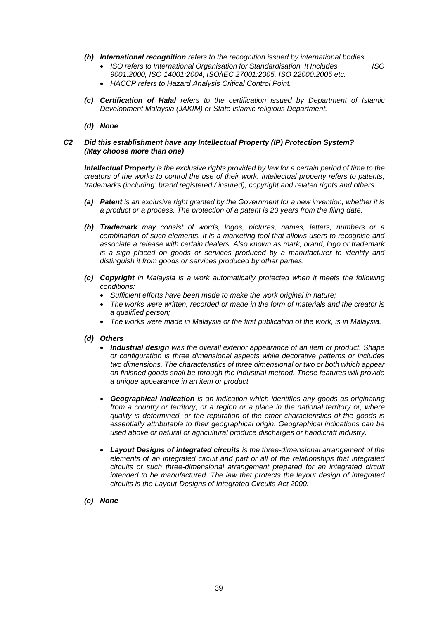*(b) International recognition refers to the recognition issued by international bodies.*

*ISO refers to International Organisation for Standardisation. It Includes ISO* 

- *9001:2000, ISO 14001:2004, ISO/IEC 27001:2005, ISO 22000:2005 etc. HACCP refers to Hazard Analysis Critical Control Point.*
- *(c) Certification of Halal refers to the certification issued by Department of Islamic Development Malaysia (JAKIM) or State Islamic religious Department.*
- *(d) None*

# *C2 Did this establishment have any Intellectual Property (IP) Protection System? (May choose more than one)*

*Intellectual Property is the exclusive rights provided by law for a certain period of time to the creators of the works to control the use of their work. Intellectual property refers to patents, trademarks (including: brand registered / insured), copyright and related rights and others.*

- *(a) Patent is an exclusive right granted by the Government for a new invention, whether it is a product or a process. The protection of a patent is 20 years from the filing date.*
- *(b) Trademark may consist of words, logos, pictures, names, letters, numbers or a combination of such elements. It is a marketing tool that allows users to recognise and associate a release with certain dealers. Also known as mark, brand, logo or trademark is a sign placed on goods or services produced by a manufacturer to identify and distinguish it from goods or services produced by other parties.*
- *(c) Copyright in Malaysia is a work automatically protected when it meets the following conditions:*
	- *Sufficient efforts have been made to make the work original in nature;*
	- *The works were written, recorded or made in the form of materials and the creator is a qualified person;*
	- *The works were made in Malaysia or the first publication of the work, is in Malaysia.*
- *(d) Others*
	- *Industrial design was the overall exterior appearance of an item or product. Shape or configuration is three dimensional aspects while decorative patterns or includes two dimensions. The characteristics of three dimensional or two or both which appear on finished goods shall be through the industrial method. These features will provide a unique appearance in an item or product.*
	- *Geographical indication is an indication which identifies any goods as originating from a country or territory, or a region or a place in the national territory or, where quality is determined, or the reputation of the other characteristics of the goods is essentially attributable to their geographical origin. Geographical indications can be used above or natural or agricultural produce discharges or handicraft industry.*
	- *Layout Designs of integrated circuits is the three-dimensional arrangement of the elements of an integrated circuit and part or all of the relationships that integrated circuits or such three-dimensional arrangement prepared for an integrated circuit intended to be manufactured. The law that protects the layout design of integrated circuits is the Layout-Designs of Integrated Circuits Act 2000.*
- *(e) None*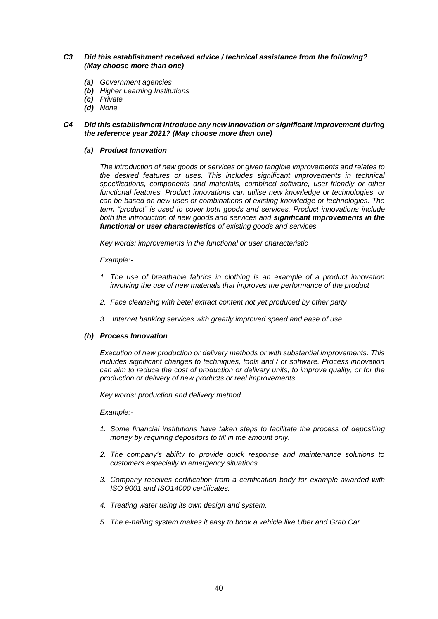# *C3 Did this establishment received advice / technical assistance from the following? (May choose more than one)*

- *(a) Government agencies*
- *(b) Higher Learning Institutions*
- *(c) Private*
- *(d) None*

# *C4 Did this establishment introduce any new innovation or significant improvement during the reference year 2021? (May choose more than one)*

#### *(a) Product Innovation*

*The introduction of new goods or services or given tangible improvements and relates to the desired features or uses. This includes significant improvements in technical specifications, components and materials, combined software, user-friendly or other functional features. Product innovations can utilise new knowledge or technologies, or can be based on new uses or combinations of existing knowledge or technologies. The term "product" is used to cover both goods and services. Product innovations include both the introduction of new goods and services and significant improvements in the functional or user characteristics of existing goods and services.*

*Key words: improvements in the functional or user characteristic*

#### *Example:-*

- 1. The use of breathable fabrics in clothing is an example of a product innovation *involving the use of new materials that improves the performance of the product*
- *2. Face cleansing with betel extract content not yet produced by other party*
- *3. Internet banking services with greatly improved speed and ease of use*

# *(b) Process Innovation*

*Execution of new production or delivery methods or with substantial improvements. This includes significant changes to techniques, tools and / or software. Process innovation can aim to reduce the cost of production or delivery units, to improve quality, or for the production or delivery of new products or real improvements.*

*Key words: production and delivery method*

*Example:-*

- *1. Some financial institutions have taken steps to facilitate the process of depositing money by requiring depositors to fill in the amount only.*
- *2. The company's ability to provide quick response and maintenance solutions to customers especially in emergency situations.*
- *3. Company receives certification from a certification body for example awarded with ISO 9001 and ISO14000 certificates.*
- *4. Treating water using its own design and system.*
- *5. The e-hailing system makes it easy to book a vehicle like Uber and Grab Car.*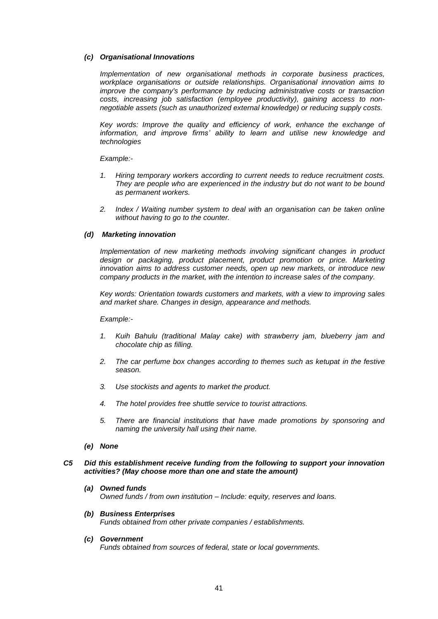# *(c) Organisational Innovations*

*Implementation of new organisational methods in corporate business practices, workplace organisations or outside relationships. Organisational innovation aims to improve the company's performance by reducing administrative costs or transaction costs, increasing job satisfaction (employee productivity), gaining access to nonnegotiable assets (such as unauthorized external knowledge) or reducing supply costs.*

Key words: Improve the quality and efficiency of work, enhance the exchange of information, and improve firms' ability to learn and utilise new knowledge and *technologies*

*Example:-*

- *1. Hiring temporary workers according to current needs to reduce recruitment costs. They are people who are experienced in the industry but do not want to be bound as permanent workers.*
- *2. Index / Waiting number system to deal with an organisation can be taken online without having to go to the counter.*

# *(d) Marketing innovation*

*Implementation of new marketing methods involving significant changes in product design or packaging, product placement, product promotion or price. Marketing innovation aims to address customer needs, open up new markets, or introduce new company products in the market, with the intention to increase sales of the company.*

*Key words: Orientation towards customers and markets, with a view to improving sales and market share. Changes in design, appearance and methods.*

#### *Example:-*

- *1. Kuih Bahulu (traditional Malay cake) with strawberry jam, blueberry jam and chocolate chip as filling.*
- *2. The car perfume box changes according to themes such as ketupat in the festive season.*
- *3. Use stockists and agents to market the product.*
- *4. The hotel provides free shuttle service to tourist attractions.*
- *5. There are financial institutions that have made promotions by sponsoring and naming the university hall using their name.*
- *(e) None*

#### *C5 Did this establishment receive funding from the following to support your innovation activities? (May choose more than one and state the amount)*

*(a) Owned funds Owned funds / from own institution – Include: equity, reserves and loans.*

## *(b) Business Enterprises Funds obtained from other private companies / establishments.*

*(c) Government*

*Funds obtained from sources of federal, state or local governments.*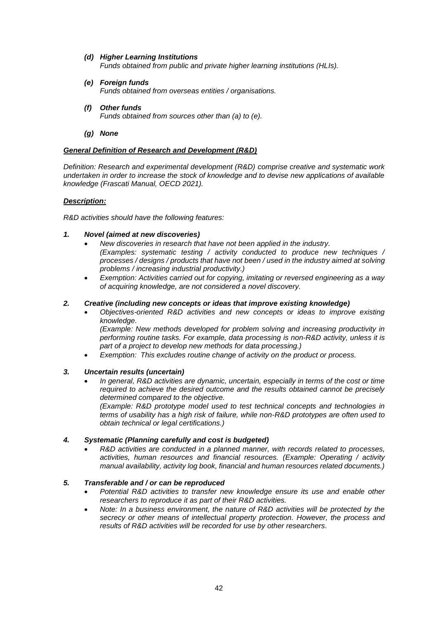## *(d) Higher Learning Institutions Funds obtained from public and private higher learning institutions (HLIs).*

- *(e) Foreign funds Funds obtained from overseas entities / organisations.*
- *(f) Other funds Funds obtained from sources other than (a) to (e).*
- *(g) None*

# *General Definition of Research and Development (R&D)*

*Definition: Research and experimental development (R&D) comprise creative and systematic work undertaken in order to increase the stock of knowledge and to devise new applications of available knowledge (Frascati Manual, OECD 2021).*

# *Description:*

*R&D activities should have the following features:*

# *1. Novel (aimed at new discoveries)*

- *New discoveries in research that have not been applied in the industry. (Examples: systematic testing / activity conducted to produce new techniques / processes / designs / products that have not been / used in the industry aimed at solving problems / increasing industrial productivity.)*
- *Exemption: Activities carried out for copying, imitating or reversed engineering as a way of acquiring knowledge, are not considered a novel discovery.*

# *2. Creative (including new concepts or ideas that improve existing knowledge)*

 *Objectives-oriented R&D activities and new concepts or ideas to improve existing knowledge.*

*(Example: New methods developed for problem solving and increasing productivity in performing routine tasks. For example, data processing is non-R&D activity, unless it is part of a project to develop new methods for data processing.)*

*Exemption: This excludes routine change of activity on the product or process.*

# *3. Uncertain results (uncertain)*

 *In general, R&D activities are dynamic, uncertain, especially in terms of the cost or time required to achieve the desired outcome and the results obtained cannot be precisely determined compared to the objective.*

*(Example: R&D prototype model used to test technical concepts and technologies in terms of usability has a high risk of failure, while non-R&D prototypes are often used to obtain technical or legal certifications.)*

# *4. Systematic (Planning carefully and cost is budgeted)*

 *R&D activities are conducted in a planned manner, with records related to processes, activities, human resources and financial resources. (Example: Operating / activity manual availability, activity log book, financial and human resources related documents.)*

# *5. Transferable and / or can be reproduced*

- *Potential R&D activities to transfer new knowledge ensure its use and enable other researchers to reproduce it as part of their R&D activities.*
- *Note: In a business environment, the nature of R&D activities will be protected by the secrecy or other means of intellectual property protection. However, the process and results of R&D activities will be recorded for use by other researchers.*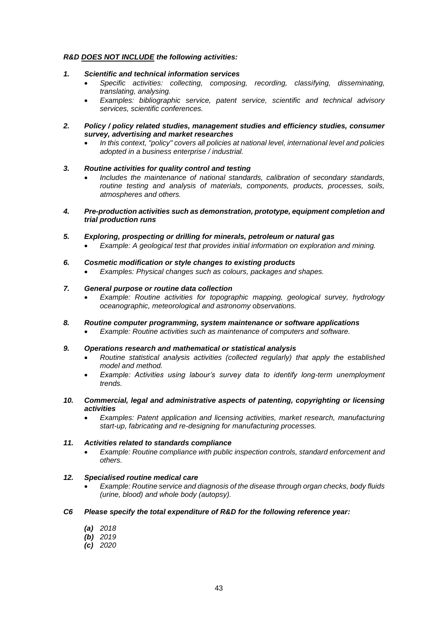# *R&D DOES NOT INCLUDE the following activities:*

# *1. Scientific and technical information services*

- *Specific activities: collecting, composing, recording, classifying, disseminating, translating, analysing.*
- *Examples: bibliographic service, patent service, scientific and technical advisory services, scientific conferences.*
- *2. Policy / policy related studies, management studies and efficiency studies, consumer survey, advertising and market researches*
	- *In this context, "policy" covers all policies at national level, international level and policies adopted in a business enterprise / industrial.*

# *3. Routine activities for quality control and testing*

- *Includes the maintenance of national standards, calibration of secondary standards, routine testing and analysis of materials, components, products, processes, soils, atmospheres and others.*
- *4. Pre-production activities such as demonstration, prototype, equipment completion and trial production runs*
- *5. Exploring, prospecting or drilling for minerals, petroleum or natural gas*
	- *Example: A geological test that provides initial information on exploration and mining.*

# *6. Cosmetic modification or style changes to existing products*

*Examples: Physical changes such as colours, packages and shapes.*

# *7. General purpose or routine data collection*

- *Example: Routine activities for topographic mapping, geological survey, hydrology oceanographic, meteorological and astronomy observations.*
- *8. Routine computer programming, system maintenance or software applications*
	- *Example: Routine activities such as maintenance of computers and software.*

# *9. Operations research and mathematical or statistical analysis*

- *Routine statistical analysis activities (collected regularly) that apply the established model and method.*
- *Example: Activities using labour's survey data to identify long-term unemployment trends.*
- *10. Commercial, legal and administrative aspects of patenting, copyrighting or licensing activities*
	- *Examples: Patent application and licensing activities, market research, manufacturing start-up, fabricating and re-designing for manufacturing processes.*

# *11. Activities related to standards compliance*

 *Example: Routine compliance with public inspection controls, standard enforcement and others.*

# *12. Specialised routine medical care*

 *Example: Routine service and diagnosis of the disease through organ checks, body fluids (urine, blood) and whole body (autopsy).*

# *C6 Please specify the total expenditure of R&D for the following reference year:*

- *(a) 2018*
- *(b) 2019*
- *(c) 2020*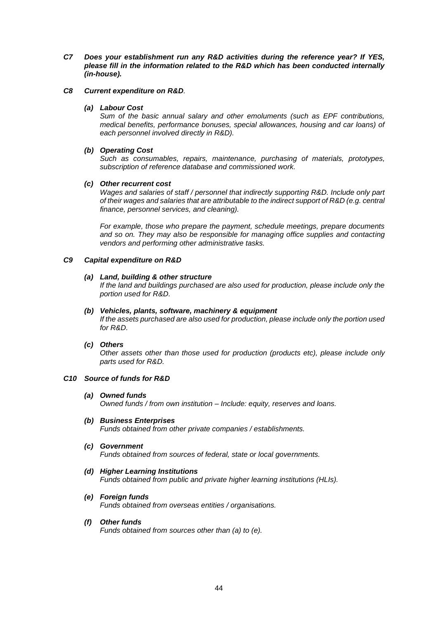- *C7 Does your establishment run any R&D activities during the reference year? If YES, please fill in the information related to the R&D which has been conducted internally (in-house).*
- *C8 Current expenditure on R&D.*

# *(a) Labour Cost*

*Sum of the basic annual salary and other emoluments (such as EPF contributions, medical benefits, performance bonuses, special allowances, housing and car loans) of each personnel involved directly in R&D).* 

## *(b) Operating Cost*

*Such as consumables, repairs, maintenance, purchasing of materials, prototypes, subscription of reference database and commissioned work.*

# *(c) Other recurrent cost*

*Wages and salaries of staff / personnel that indirectly supporting R&D. Include only part of their wages and salaries that are attributable to the indirect support of R&D (e.g. central finance, personnel services, and cleaning).*

*For example, those who prepare the payment, schedule meetings, prepare documents and so on. They may also be responsible for managing office supplies and contacting vendors and performing other administrative tasks.*

## *C9 Capital expenditure on R&D*

## *(a) Land, building & other structure*

*If the land and buildings purchased are also used for production, please include only the portion used for R&D.*

#### *(b) Vehicles, plants, software, machinery & equipment*

*If the assets purchased are also used for production, please include only the portion used for R&D.*

#### *(c) Others*

*Other assets other than those used for production (products etc), please include only parts used for R&D.*

#### *C10 Source of funds for R&D*

#### *(a) Owned funds*

*Owned funds / from own institution – Include: equity, reserves and loans.*

- *(b) Business Enterprises Funds obtained from other private companies / establishments.*
- *(c) Government*

*Funds obtained from sources of federal, state or local governments.*

*(d) Higher Learning Institutions*

*Funds obtained from public and private higher learning institutions (HLIs).*

- *(e) Foreign funds Funds obtained from overseas entities / organisations.*
- *(f) Other funds*

*Funds obtained from sources other than (a) to (e).*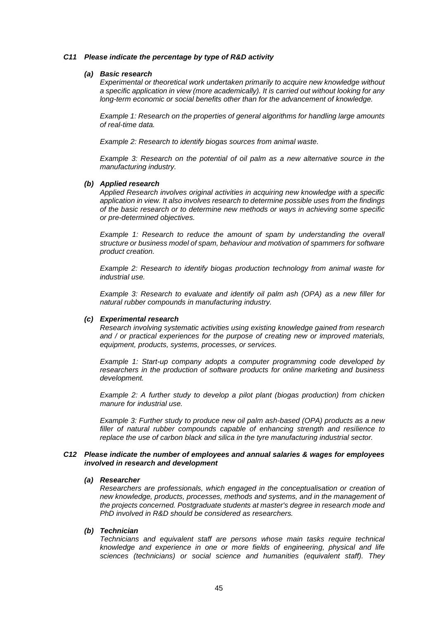## *C11 Please indicate the percentage by type of R&D activity*

#### *(a) Basic research*

*Experimental or theoretical work undertaken primarily to acquire new knowledge without a specific application in view (more academically). It is carried out without looking for any long-term economic or social benefits other than for the advancement of knowledge.*

*Example 1: Research on the properties of general algorithms for handling large amounts of real-time data.*

*Example 2: Research to identify biogas sources from animal waste.*

*Example 3: Research on the potential of oil palm as a new alternative source in the manufacturing industry.*

#### *(b) Applied research*

*Applied Research involves original activities in acquiring new knowledge with a specific application in view. It also involves research to determine possible uses from the findings of the basic research or to determine new methods or ways in achieving some specific or pre-determined objectives.*

*Example 1: Research to reduce the amount of spam by understanding the overall structure or business model of spam, behaviour and motivation of spammers for software product creation.*

*Example 2: Research to identify biogas production technology from animal waste for industrial use.*

*Example 3: Research to evaluate and identify oil palm ash (OPA) as a new filler for natural rubber compounds in manufacturing industry.*

#### *(c) Experimental research*

*Research involving systematic activities using existing knowledge gained from research and / or practical experiences for the purpose of creating new or improved materials, equipment, products, systems, processes, or services.*

*Example 1: Start-up company adopts a computer programming code developed by researchers in the production of software products for online marketing and business development.*

*Example 2: A further study to develop a pilot plant (biogas production) from chicken manure for industrial use.*

*Example 3: Further study to produce new oil palm ash-based (OPA) products as a new filler of natural rubber compounds capable of enhancing strength and resilience to replace the use of carbon black and silica in the tyre manufacturing industrial sector.*

# *C12 Please indicate the number of employees and annual salaries & wages for employees involved in research and development*

#### *(a) Researcher*

*Researchers are professionals, which engaged in the conceptualisation or creation of new knowledge, products, processes, methods and systems, and in the management of the projects concerned. Postgraduate students at master's degree in research mode and PhD involved in R&D should be considered as researchers.*

#### *(b) Technician*

*Technicians and equivalent staff are persons whose main tasks require technical knowledge and experience in one or more fields of engineering, physical and life sciences (technicians) or social science and humanities (equivalent staff). They*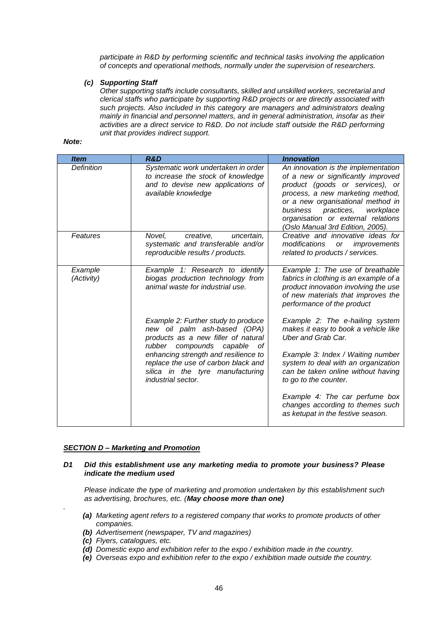*participate in R&D by performing scientific and technical tasks involving the application of concepts and operational methods, normally under the supervision of researchers.*

# *(c) Supporting Staff*

*Other supporting staffs include consultants, skilled and unskilled workers, secretarial and clerical staffs who participate by supporting R&D projects or are directly associated with such projects. Also included in this category are managers and administrators dealing mainly in financial and personnel matters, and in general administration, insofar as their activities are a direct service to R&D. Do not include staff outside the R&D performing unit that provides indirect support.*

#### *Note:*

| <b>Item</b>           | <b>R&amp;D</b>                                                                                                                               | <b>Innovation</b>                                                                                                                                                                                                                                                                                |
|-----------------------|----------------------------------------------------------------------------------------------------------------------------------------------|--------------------------------------------------------------------------------------------------------------------------------------------------------------------------------------------------------------------------------------------------------------------------------------------------|
| <b>Definition</b>     | Systematic work undertaken in order<br>to increase the stock of knowledge<br>and to devise new applications of<br>available knowledge        | An innovation is the implementation<br>of a new or significantly improved<br>product (goods or services), or<br>process, a new marketing method,<br>or a new organisational method in<br>business practices, workplace<br>organisation or external relations<br>(Oslo Manual 3rd Edition, 2005). |
| Features              | Novel.<br>creative,<br>uncertain,<br>systematic and transferable and/or<br>reproducible results / products.                                  | Creative and innovative ideas for<br>modifications<br>improvements<br>or<br>related to products / services.                                                                                                                                                                                      |
| Example<br>(Activity) | Example 1: Research to identify<br>biogas production technology from<br>animal waste for industrial use.                                     | Example 1: The use of breathable<br>fabrics in clothing is an example of a<br>product innovation involving the use<br>of new materials that improves the<br>performance of the product                                                                                                           |
|                       | Example 2: Further study to produce<br>new oil palm ash-based (OPA)<br>products as a new filler of natural<br>rubber compounds capable<br>0f | Example 2: The e-hailing system<br>makes it easy to book a vehicle like<br><b>Uber and Grab Car.</b>                                                                                                                                                                                             |
|                       | enhancing strength and resilience to<br>replace the use of carbon black and<br>silica in the tyre manufacturing<br>industrial sector.        | Example 3: Index / Waiting number<br>system to deal with an organization<br>can be taken online without having<br>to go to the counter.                                                                                                                                                          |
|                       |                                                                                                                                              | Example 4: The car perfume box<br>changes according to themes such<br>as ketupat in the festive season.                                                                                                                                                                                          |

# *SECTION D – Marketing and Promotion*

# *D1 Did this establishment use any marketing media to promote your business? Please indicate the medium used*

*Please indicate the type of marketing and promotion undertaken by this establishment such as advertising, brochures, etc. (May choose more than one)*

- *(a) Marketing agent refers to a registered company that works to promote products of other companies.*
- *(b) Advertisement (newspaper, TV and magazines)*
- *(c) Flyers, catalogues, etc.*

*.*

- *(d) Domestic expo and exhibition refer to the expo / exhibition made in the country.*
- *(e) Overseas expo and exhibition refer to the expo / exhibition made outside the country.*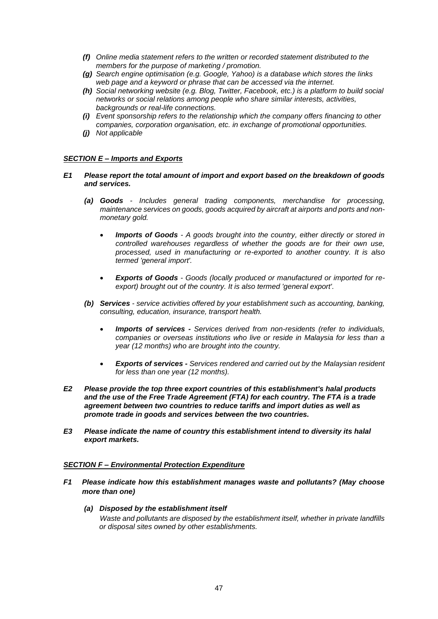- *(f) Online media statement refers to the written or recorded statement distributed to the members for the purpose of marketing / promotion.*
- *(g) Search engine optimisation (e.g. Google, Yahoo) is a database which stores the links web page and a keyword or phrase that can be accessed via the internet.*
- *(h) Social networking website (e.g. Blog, Twitter, Facebook, etc.) is a platform to build social networks or social relations among people who share similar interests, activities, backgrounds or real-life connections.*
- *(i) Event sponsorship refers to the relationship which the company offers financing to other companies, corporation organisation, etc. in exchange of promotional opportunities.*
- *(j) Not applicable*

# *SECTION E – Imports and Exports*

- *E1 Please report the total amount of import and export based on the breakdown of goods and services.*
	- *(a) Goods - Includes general trading components, merchandise for processing, maintenance services on goods, goods acquired by aircraft at airports and ports and nonmonetary gold.*
		- *Imports of Goods - A goods brought into the country, either directly or stored in controlled warehouses regardless of whether the goods are for their own use, processed, used in manufacturing or re-exported to another country. It is also termed 'general import'.*
		- *Exports of Goods - Goods (locally produced or manufactured or imported for reexport) brought out of the country. It is also termed 'general export'.*
	- *(b) Services - service activities offered by your establishment such as accounting, banking, consulting, education, insurance, transport health.*
		- *Imports of services - Services derived from non-residents (refer to individuals, companies or overseas institutions who live or reside in Malaysia for less than a year (12 months) who are brought into the country.*
		- *Exports of services - Services rendered and carried out by the Malaysian resident for less than one year (12 months).*
- *E2 Please provide the top three export countries of this establishment's halal products and the use of the Free Trade Agreement (FTA) for each country. The FTA is a trade agreement between two countries to reduce tariffs and import duties as well as promote trade in goods and services between the two countries.*
- *E3 Please indicate the name of country this establishment intend to diversity its halal export markets.*

# *SECTION F – Environmental Protection Expenditure*

- *F1 Please indicate how this establishment manages waste and pollutants? (May choose more than one)*
	- *(a) Disposed by the establishment itself Waste and pollutants are disposed by the establishment itself, whether in private landfills or disposal sites owned by other establishments.*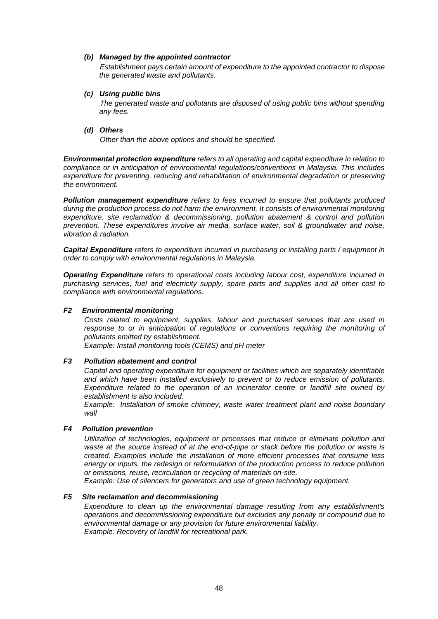## *(b) Managed by the appointed contractor*

*Establishment pays certain amount of expenditure to the appointed contractor to dispose the generated waste and pollutants.*

#### *(c) Using public bins*

*The generated waste and pollutants are disposed of using public bins without spending any fees.* 

## *(d) Others*

*Other than the above options and should be specified.*

*Environmental protection expenditure refers to all operating and capital expenditure in relation to compliance or in anticipation of environmental regulations/conventions in Malaysia. This includes expenditure for preventing, reducing and rehabilitation of environmental degradation or preserving the environment.*

*Pollution management expenditure refers to fees incurred to ensure that pollutants produced during the production process do not harm the environment. It consists of environmental monitoring expenditure, site reclamation & decommissioning, pollution abatement & control and pollution prevention. These expenditures involve air media, surface water, soil & groundwater and noise, vibration & radiation.*

*Capital Expenditure refers to expenditure incurred in purchasing or installing parts / equipment in order to comply with environmental regulations in Malaysia.*

*Operating Expenditure refers to operational costs including labour cost, expenditure incurred in purchasing services, fuel and electricity supply, spare parts and supplies and all other cost to compliance with environmental regulations.*

# *F2 Environmental monitoring*

*Costs related to equipment, supplies, labour and purchased services that are used in*  response to or in anticipation of requlations or conventions requiring the monitoring of *pollutants emitted by establishment. Example: Install monitoring tools (CEMS) and pH meter*

# *F3 Pollution abatement and control*

*Capital and operating expenditure for equipment or facilities which are separately identifiable and which have been installed exclusively to prevent or to reduce emission of pollutants. Expenditure related to the operation of an incinerator centre or landfill site owned by establishment is also included.* 

*Example: Installation of smoke chimney, waste water treatment plant and noise boundary wall*

# *F4 Pollution prevention*

*Utilization of technologies, equipment or processes that reduce or eliminate pollution and waste at the source instead of at the end-of-pipe or stack before the pollution or waste is created. Examples include the installation of more efficient processes that consume less energy or inputs, the redesign or reformulation of the production process to reduce pollution or emissions, reuse, recirculation or recycling of materials on-site.*

*Example: Use of silencers for generators and use of green technology equipment.*

# *F5 Site reclamation and decommissioning*

*Expenditure to clean up the environmental damage resulting from any establishment's operations and decommissioning expenditure but excludes any penalty or compound due to environmental damage or any provision for future environmental liability. Example: Recovery of landfill for recreational park.*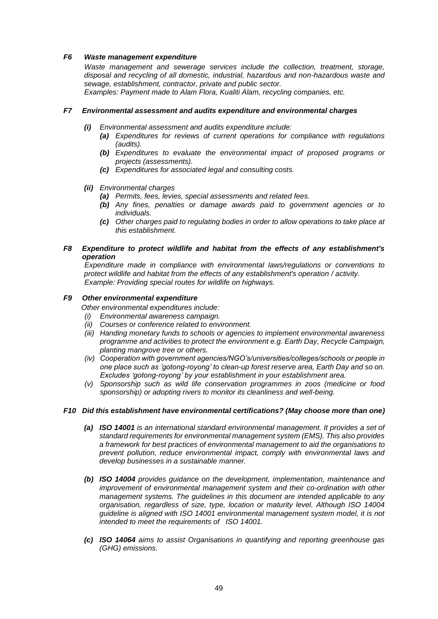# *F6 Waste management expenditure*

*Waste management and sewerage services include the collection, treatment, storage, disposal and recycling of all domestic, industrial, hazardous and non-hazardous waste and sewage, establishment, contractor, private and public sector. Examples: Payment made to Alam Flora, Kualiti Alam, recycling companies, etc.*

# *F7 Environmental assessment and audits expenditure and environmental charges*

- *(i) Environmental assessment and audits expenditure include:*
	- *(a) Expenditures for reviews of current operations for compliance with regulations (audits).*
	- *(b) Expenditures to evaluate the environmental impact of proposed programs or projects (assessments).*
	- *(c) Expenditures for associated legal and consulting costs.*

# *(ii) Environmental charges*

- *(a) Permits, fees, levies, special assessments and related fees.*
- *(b) Any fines, penalties or damage awards paid to government agencies or to individuals.*
- *(c) Other charges paid to regulating bodies in order to allow operations to take place at this establishment.*

# *F8 Expenditure to protect wildlife and habitat from the effects of any establishment's operation*

*Expenditure made in compliance with environmental laws/regulations or conventions to protect wildlife and habitat from the effects of any establishment's operation / activity. Example: Providing special routes for wildlife on highways.*

# *F9 Other environmental expenditure*

*Other environmental expenditures include:*

- *(i) Environmental awareness campaign.*
- *(ii) Courses or conference related to environment.*
- *(iii) Handing monetary funds to schools or agencies to implement environmental awareness programme and activities to protect the environment e.g. Earth Day, Recycle Campaign, planting mangrove tree or others.*
- *(iv) Cooperation with government agencies/NGO's/universities/colleges/schools or people in one place such as 'gotong-royong' to clean-up forest reserve area, Earth Day and so on. Excludes 'gotong-royong' by your establishment in your establishment area.*
- *(v) Sponsorship such as wild life conservation programmes in zoos (medicine or food sponsorship) or adopting rivers to monitor its cleanliness and well-being.*

# *F10 Did this establishment have environmental certifications? (May choose more than one)*

- *(a) ISO 14001 is an international standard environmental management. It provides a set of standard requirements for environmental management system (EMS). This also provides a framework for best practices of environmental management to aid the organisations to prevent pollution, reduce environmental impact, comply with environmental laws and develop businesses in a sustainable manner.*
- *(b) ISO 14004 provides guidance on the development, implementation, maintenance and improvement of environmental management system and their co-ordination with other management systems. The guidelines in this document are intended applicable to any organisation, regardless of size, type, location or maturity level. Although ISO 14004 guideline is aligned with ISO 14001 environmental management system model, it is not intended to meet the requirements of ISO 14001.*
- *(c) ISO 14064 aims to assist Organisations in quantifying and reporting greenhouse gas (GHG) emissions.*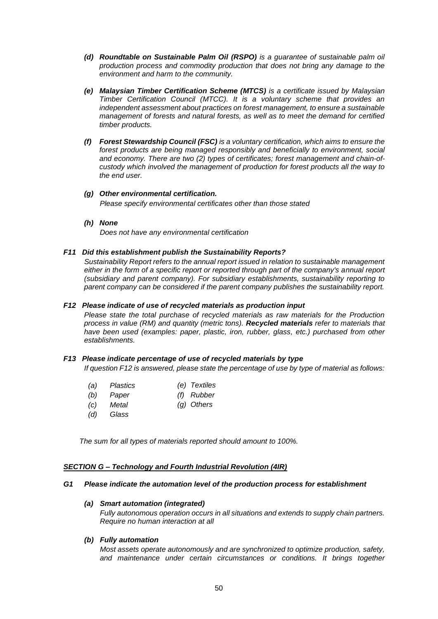- *(d) Roundtable on Sustainable Palm Oil (RSPO) is a guarantee of sustainable palm oil production process and commodity production that does not bring any damage to the environment and harm to the community.*
- *(e) Malaysian Timber Certification Scheme (MTCS) is a certificate issued by Malaysian Timber Certification Council (MTCC). It is a voluntary scheme that provides an independent assessment about practices on forest management, to ensure a sustainable management of forests and natural forests, as well as to meet the demand for certified timber products.*
- *(f) Forest Stewardship Council (FSC) is a voluntary certification, which aims to ensure the forest products are being managed responsibly and beneficially to environment, social and economy. There are two (2) types of certificates; forest management and chain-ofcustody which involved the management of production for forest products all the way to the end user.*
- *(g) Other environmental certification. Please specify environmental certificates other than those stated*
- *(h) None*

*Does not have any environmental certification*

# *F11 Did this establishment publish the Sustainability Reports?*

*Sustainability Report refers to the annual report issued in relation to sustainable management either in the form of a specific report or reported through part of the company's annual report (subsidiary and parent company). For subsidiary establishments, sustainability reporting to parent company can be considered if the parent company publishes the sustainability report.*

# *F12 Please indicate of use of recycled materials as production input*

*Please state the total purchase of recycled materials as raw materials for the Production process in value (RM) and quantity (metric tons). Recycled materials refer to materials that have been used (examples: paper, plastic, iron, rubber, glass, etc.) purchased from other establishments.*

# *F13 Please indicate percentage of use of recycled materials by type*

*If question F12 is answered, please state the percentage of use by type of material as follows:*

- *(a) Plastics (e) Textiles*
- *(b) Paper (f) Rubber*
- *(c) Metal (g) Others*
- *(d) Glass*

*The sum for all types of materials reported should amount to 100%.*

# *SECTION G – Technology and Fourth Industrial Revolution (4IR)*

# *G1 Please indicate the automation level of the production process for establishment*

# *(a) Smart automation (integrated)*

*Fully autonomous operation occurs in all situations and extends to supply chain partners. Require no human interaction at all*

*(b) Fully automation*

*Most assets operate autonomously and are synchronized to optimize production, safety, and maintenance under certain circumstances or conditions. It brings together*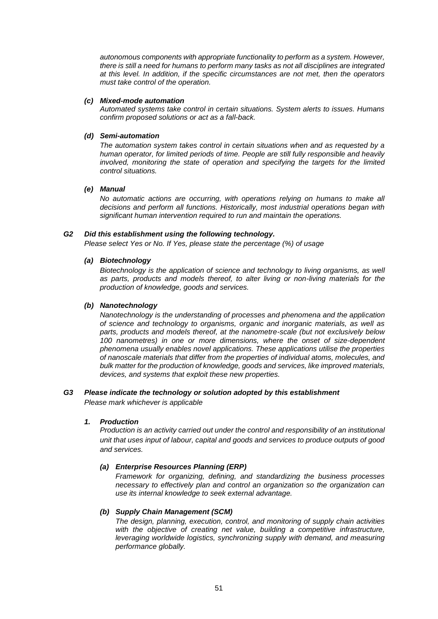*autonomous components with appropriate functionality to perform as a system. However, there is still a need for humans to perform many tasks as not all disciplines are integrated at this level. In addition, if the specific circumstances are not met, then the operators must take control of the operation.* 

## *(c) Mixed-mode automation*

*Automated systems take control in certain situations. System alerts to issues. Humans confirm proposed solutions or act as a fall-back.*

## *(d) Semi-automation*

*The automation system takes control in certain situations when and as requested by a human operator, for limited periods of time. People are still fully responsible and heavily involved, monitoring the state of operation and specifying the targets for the limited control situations.*

# *(e) Manual*

*No automatic actions are occurring, with operations relying on humans to make all decisions and perform all functions. Historically, most industrial operations began with significant human intervention required to run and maintain the operations.*

## *G2 Did this establishment using the following technology.*

*Please select Yes or No. If Yes, please state the percentage (%) of usage*

## *(a) Biotechnology*

*Biotechnology is the application of science and technology to living organisms, as well as parts, products and models thereof, to alter living or non-living materials for the production of knowledge, goods and services.*

## *(b) Nanotechnology*

*Nanotechnology is the understanding of processes and phenomena and the application of science and technology to organisms, organic and inorganic materials, as well as parts, products and models thereof, at the nanometre-scale (but not exclusively below 100 nanometres) in one or more dimensions, where the onset of size-dependent phenomena usually enables novel applications. These applications utilise the properties of nanoscale materials that differ from the properties of individual atoms, molecules, and bulk matter for the production of knowledge, goods and services, like improved materials, devices, and systems that exploit these new properties.*

# *G3 Please indicate the technology or solution adopted by this establishment*

*Please mark whichever is applicable*

# *1. Production*

*Production is an activity carried out under the control and responsibility of an institutional unit that uses input of labour, capital and goods and services to produce outputs of good and services.*

# *(a) Enterprise Resources Planning (ERP)*

*Framework for organizing, defining, and standardizing the business processes necessary to effectively plan and control an organization so the organization can use its internal knowledge to seek external advantage.*

# *(b) Supply Chain Management (SCM)*

*The design, planning, execution, control, and monitoring of supply chain activities*  with the objective of creating net value, building a competitive infrastructure, *leveraging worldwide logistics, synchronizing supply with demand, and measuring performance globally.*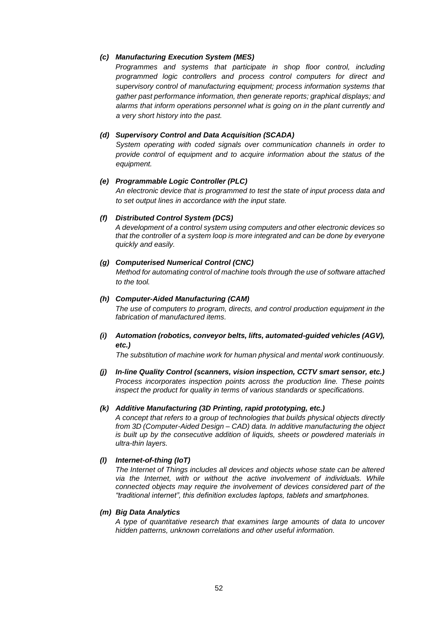# *(c) Manufacturing Execution System (MES)*

*Programmes and systems that participate in shop floor control, including programmed logic controllers and process control computers for direct and supervisory control of manufacturing equipment; process information systems that gather past performance information, then generate reports; graphical displays; and alarms that inform operations personnel what is going on in the plant currently and a very short history into the past.*

# *(d) Supervisory Control and Data Acquisition (SCADA)*

*System operating with coded signals over communication channels in order to provide control of equipment and to acquire information about the status of the equipment.*

# *(e) Programmable Logic Controller (PLC)*

*An electronic device that is programmed to test the state of input process data and to set output lines in accordance with the input state.*

# *(f) Distributed Control System (DCS)*

*A development of a control system using computers and other electronic devices so that the controller of a system loop is more integrated and can be done by everyone quickly and easily.*

# *(g) Computerised Numerical Control (CNC)*

*Method for automating control of machine tools through the use of software attached to the tool.*

# *(h) Computer-Aided Manufacturing (CAM)*

*The use of computers to program, directs, and control production equipment in the fabrication of manufactured items.*

*(i) Automation (robotics, conveyor belts, lifts, automated-guided vehicles (AGV), etc.)*

*The substitution of machine work for human physical and mental work continuously.*

*(j) In-line Quality Control (scanners, vision inspection, CCTV smart sensor, etc.) Process incorporates inspection points across the production line. These points inspect the product for quality in terms of various standards or specifications.*

# *(k) Additive Manufacturing (3D Printing, rapid prototyping, etc.)*

*A concept that refers to a group of technologies that builds physical objects directly from 3D (Computer-Aided Design – CAD) data. In additive manufacturing the object is built up by the consecutive addition of liquids, sheets or powdered materials in ultra-thin layers.*

# *(l) Internet-of-thing (IoT)*

*The Internet of Things includes all devices and objects whose state can be altered*  via the Internet, with or without the active involvement of individuals. While *connected objects may require the involvement of devices considered part of the "traditional internet", this definition excludes laptops, tablets and smartphones.*

# *(m) Big Data Analytics*

*A type of quantitative research that examines large amounts of data to uncover hidden patterns, unknown correlations and other useful information.*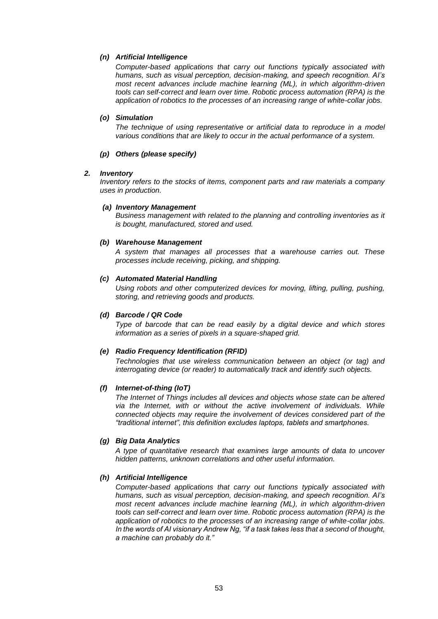# *(n) Artificial Intelligence*

*Computer-based applications that carry out functions typically associated with humans, such as visual perception, decision-making, and speech recognition. AI's most recent advances include machine learning (ML), in which algorithm-driven tools can self-correct and learn over time. Robotic process automation (RPA) is the application of robotics to the processes of an increasing range of white-collar jobs.* 

# *(o) Simulation*

*The technique of using representative or artificial data to reproduce in a model various conditions that are likely to occur in the actual performance of a system.*

# *(p) Others (please specify)*

# *2. Inventory*

*Inventory refers to the stocks of items, component parts and raw materials a company uses in production.*

# *(a) Inventory Management*

*Business management with related to the planning and controlling inventories as it is bought, manufactured, stored and used.*

# *(b) Warehouse Management*

*A system that manages all processes that a warehouse carries out. These processes include receiving, picking, and shipping.*

# *(c) Automated Material Handling*

*Using robots and other computerized devices for moving, lifting, pulling, pushing, storing, and retrieving goods and products.*

# *(d) Barcode / QR Code*

*Type of barcode that can be read easily by a digital device and which stores information as a series of pixels in a square-shaped grid.*

# *(e) Radio Frequency Identification (RFID)*

*Technologies that use wireless communication between an object (or tag) and interrogating device (or reader) to automatically track and identify such objects.*

# *(f) Internet-of-thing (IoT)*

*The Internet of Things includes all devices and objects whose state can be altered via the Internet, with or without the active involvement of individuals. While connected objects may require the involvement of devices considered part of the "traditional internet", this definition excludes laptops, tablets and smartphones.*

# *(g) Big Data Analytics*

*A type of quantitative research that examines large amounts of data to uncover hidden patterns, unknown correlations and other useful information.*

# *(h) Artificial Intelligence*

*Computer-based applications that carry out functions typically associated with humans, such as visual perception, decision-making, and speech recognition. AI's most recent advances include machine learning (ML), in which algorithm-driven tools can self-correct and learn over time. Robotic process automation (RPA) is the application of robotics to the processes of an increasing range of white-collar jobs. In the words of AI visionary Andrew Ng, "if a task takes less that a second of thought, a machine can probably do it."*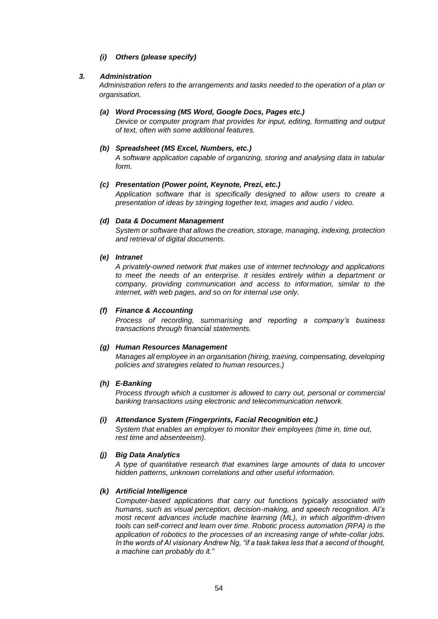*(i) Others (please specify)*

# *3. Administration*

*Administration refers to the arrangements and tasks needed to the operation of a plan or organisation.*

# *(a) Word Processing (MS Word, Google Docs, Pages etc.)*

*Device or computer program that provides for input, editing, formatting and output of text, often with some additional features.*

# *(b) Spreadsheet (MS Excel, Numbers, etc.)*

*A software application capable of organizing, storing and analysing data in tabular form.*

# *(c) Presentation (Power point, Keynote, Prezi, etc.)*

*Application software that is specifically designed to allow users to create a presentation of ideas by stringing together text, images and audio / video.*

# *(d) Data & Document Management*

*System or software that allows the creation, storage, managing, indexing, protection and retrieval of digital documents.*

# *(e) Intranet*

*A privately-owned network that makes use of internet technology and applications to meet the needs of an enterprise. It resides entirely within a department or company, providing communication and access to information, similar to the internet, with web pages, and so on for internal use only.*

# *(f) Finance & Accounting*

*Process of recording, summarising and reporting a company's business transactions through financial statements.*

# *(g) Human Resources Management*

*Manages all employee in an organisation (hiring, training, compensating, developing policies and strategies related to human resources.)*

# *(h) E-Banking*

*Process through which a customer is allowed to carry out, personal or commercial banking transactions using electronic and telecommunication network.*

# *(i) Attendance System (Fingerprints, Facial Recognition etc.)*

*System that enables an employer to monitor their employees (time in, time out, rest time and absenteeism).*

# *(j) Big Data Analytics*

*A type of quantitative research that examines large amounts of data to uncover hidden patterns, unknown correlations and other useful information.*

# *(k) Artificial Intelligence*

*Computer-based applications that carry out functions typically associated with humans, such as visual perception, decision-making, and speech recognition. AI's most recent advances include machine learning (ML), in which algorithm-driven tools can self-correct and learn over time. Robotic process automation (RPA) is the application of robotics to the processes of an increasing range of white-collar jobs. In the words of AI visionary Andrew Ng, "if a task takes less that a second of thought, a machine can probably do it."*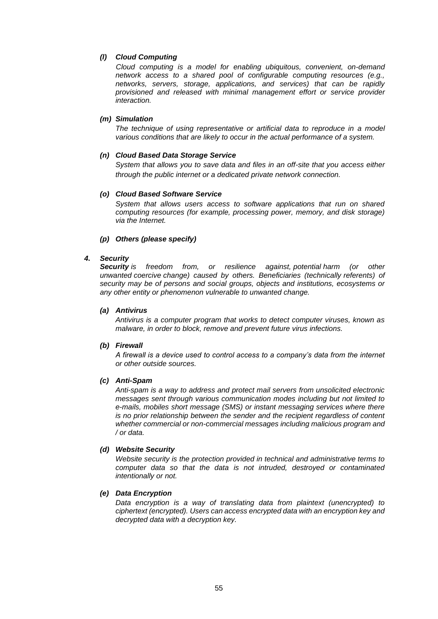# *(l) Cloud Computing*

*Cloud computing is a model for enabling ubiquitous, convenient, on-demand network access to a shared pool of configurable computing resources (e.g., networks, servers, storage, applications, and services) that can be rapidly provisioned and released with minimal management effort or service provider interaction.* 

# *(m) Simulation*

*The technique of using representative or artificial data to reproduce in a model various conditions that are likely to occur in the actual performance of a system.*

# *(n) Cloud Based Data Storage Service*

*System that allows you to save data and files in an off-site that you access either through the public internet or a dedicated private network connection.*

# *(o) Cloud Based Software Service*

*System that allows users access to software applications that run on shared computing resources (for example, processing power, memory, and disk storage) via the Internet.*

# *(p) Others (please specify)*

# *4. Security*

*Security is freedom from, or resilience against, [potential](https://en.wikipedia.org/wiki/Potential) harm (or other unwanted [coercive](https://en.wikipedia.org/wiki/Coercion) change) caused by others. Beneficiaries (technically [referents\)](https://en.wikipedia.org/wiki/Referent) of security may be of persons and social groups, objects and institutions, ecosystems or any other entity or phenomenon vulnerable to unwanted change.*

# *(a) Antivirus*

*Antivirus is a computer program that works to detect computer viruses, known as malware, in order to block, remove and prevent future virus infections.*

# *(b) Firewall*

*A firewall is a device used to control access to a company's data from the internet or other outside sources.*

# *(c) Anti-Spam*

*Anti-spam is a way to address and protect mail servers from unsolicited electronic messages sent through various communication modes including but not limited to e-mails, mobiles short message (SMS) or instant messaging services where there is no prior relationship between the sender and the recipient regardless of content whether commercial or non-commercial messages including malicious program and / or data.*

# *(d) Website Security*

*Website security is the protection provided in technical and administrative terms to computer data so that the data is not intruded, destroyed or contaminated intentionally or not.*

# *(e) Data Encryption*

*Data encryption is a way of translating data from plaintext (unencrypted) to ciphertext (encrypted). Users can access encrypted data with an encryption key and decrypted data with a decryption key.*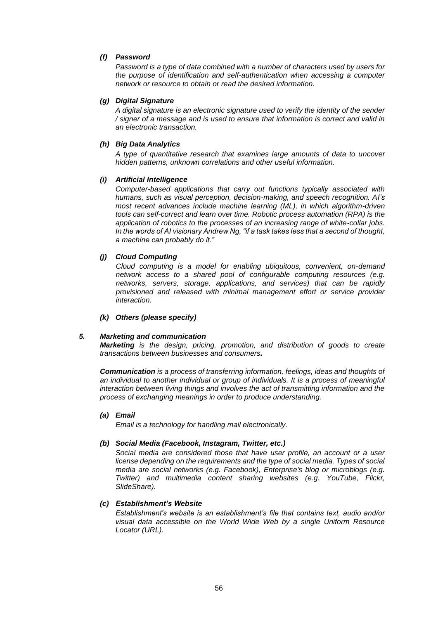# *(f) Password*

*Password is a type of data combined with a number of characters used by users for the purpose of identification and self-authentication when accessing a computer network or resource to obtain or read the desired information.*

# *(g) Digital Signature*

*A digital signature is an electronic signature used to verify the identity of the sender / signer of a message and is used to ensure that information is correct and valid in an electronic transaction.*

# *(h) Big Data Analytics*

*A type of quantitative research that examines large amounts of data to uncover hidden patterns, unknown correlations and other useful information.*

# *(i) Artificial Intelligence*

*Computer-based applications that carry out functions typically associated with humans, such as visual perception, decision-making, and speech recognition. AI's most recent advances include machine learning (ML), in which algorithm-driven tools can self-correct and learn over time. Robotic process automation (RPA) is the application of robotics to the processes of an increasing range of white-collar jobs. In the words of AI visionary Andrew Ng, "if a task takes less that a second of thought, a machine can probably do it."*

# *(j) Cloud Computing*

*Cloud computing is a model for enabling ubiquitous, convenient, on-demand network access to a shared pool of configurable computing resources (e.g. networks, servers, storage, applications, and services) that can be rapidly provisioned and released with minimal management effort or service provider interaction.* 

# *(k) Others (please specify)*

# *5. Marketing and communication*

*Marketing is the design, pricing, promotion, and distribution of goods to create transactions between businesses and consumers.*

*Communication is a process of transferring information, feelings, ideas and thoughts of an individual to another individual or group of individuals. It is a process of meaningful interaction between living things and involves the act of transmitting information and the process of exchanging meanings in order to produce understanding.*

# *(a) Email*

*Email is a technology for handling mail electronically.*

# *(b) Social Media (Facebook, Instagram, Twitter, etc.)*

*Social media are considered those that have user profile, an account or a user license depending on the requirements and the type of social media. Types of social media are social networks (e.g. Facebook), Enterprise's blog or microblogs (e.g. Twitter) and multimedia content sharing websites (e.g. YouTube, Flickr, SlideShare).*

# *(c) Establishment's Website*

*Establishment's website is an establishment's file that contains text, audio and/or visual data accessible on the World Wide Web by a single Uniform Resource Locator (URL).*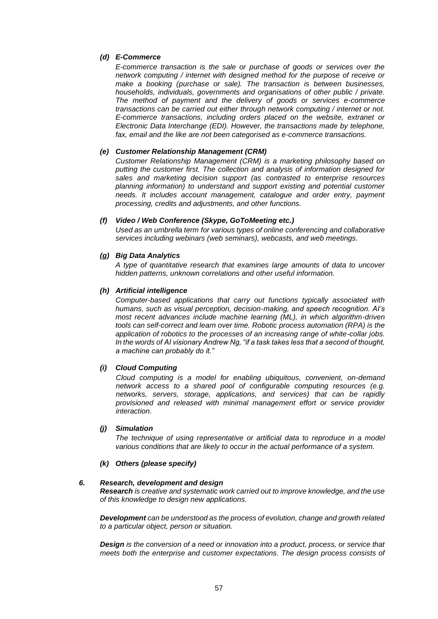# *(d) E-Commerce*

*E-commerce transaction is the sale or purchase of goods or services over the network computing / internet with designed method for the purpose of receive or make a booking (purchase or sale). The transaction is between businesses, households, individuals, governments and organisations of other public / private. The method of payment and the delivery of goods or services e-commerce transactions can be carried out either through network computing / internet or not. E-commerce transactions, including orders placed on the website, extranet or Electronic Data Interchange (EDI). However, the transactions made by telephone, fax, email and the like are not been categorised as e-commerce transactions.*

# *(e) Customer Relationship Management (CRM)*

*Customer Relationship Management (CRM) is a marketing philosophy based on putting the customer first. The collection and analysis of information designed for sales and marketing decision support (as contrasted to enterprise resources planning information) to understand and support existing and potential customer needs. It includes account management, catalogue and order entry, payment processing, credits and adjustments, and other functions.* 

# *(f) Video / Web Conference (Skype, GoToMeeting etc.)*

*Used as an [umbrella term](https://en.wikipedia.org/wiki/Umbrella_term) for various types of online [conferencing](https://en.wikipedia.org/wiki/Conference) and collaborative services including webinars (web seminars), [webcasts,](https://en.wikipedia.org/wiki/Webcasts) and web meetings.*

# *(g) Big Data Analytics*

*A type of quantitative research that examines large amounts of data to uncover hidden patterns, unknown correlations and other useful information.*

# *(h) Artificial intelligence*

*Computer-based applications that carry out functions typically associated with humans, such as visual perception, decision-making, and speech recognition. AI's most recent advances include machine learning (ML), in which algorithm-driven tools can self-correct and learn over time. Robotic process automation (RPA) is the application of robotics to the processes of an increasing range of white-collar jobs. In the words of AI visionary Andrew Ng, "if a task takes less that a second of thought, a machine can probably do it."*

# *(i) Cloud Computing*

*Cloud computing is a model for enabling ubiquitous, convenient, on-demand network access to a shared pool of configurable computing resources (e.g. networks, servers, storage, applications, and services) that can be rapidly provisioned and released with minimal management effort or service provider interaction.* 

# *(j) Simulation*

*The technique of using representative or artificial data to reproduce in a model various conditions that are likely to occur in the actual performance of a system.*

# *(k) Others (please specify)*

# *6. Research, development and design*

*Research is creative and systematic work carried out to improve knowledge, and the use of this knowledge to design new applications.*

*Development can be understood as the process of evolution, change and growth related to a particular object, person or situation.*

*Design is the conversion of a need or innovation into a product, process, or service that meets both the enterprise and customer expectations. The design process consists of*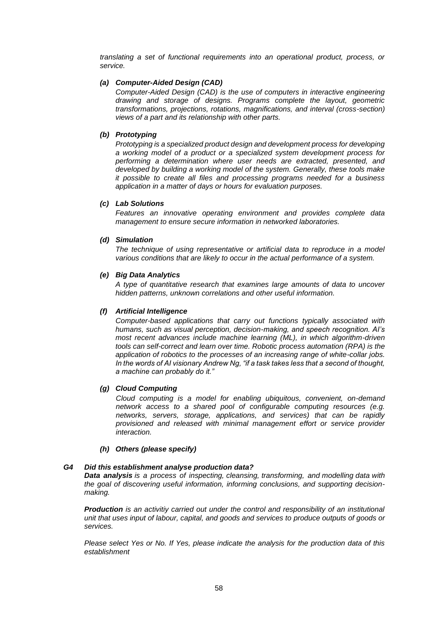*translating a set of functional requirements into an operational product, process, or service.*

# *(a) Computer-Aided Design (CAD)*

*Computer-Aided Design (CAD) is the use of computers in interactive engineering drawing and storage of designs. Programs complete the layout, geometric transformations, projections, rotations, magnifications, and interval (cross-section) views of a part and its relationship with other parts.*

# *(b) Prototyping*

*Prototyping is a specialized product design and development process for developing a working model of a product or a specialized system development process for performing a determination where user needs are extracted, presented, and developed by building a working model of the system. Generally, these tools make it possible to create all files and processing programs needed for a business application in a matter of days or hours for evaluation purposes.*

# *(c) Lab Solutions*

*Features an innovative operating environment and provides complete data management to ensure secure information in networked laboratories.*

# *(d) Simulation*

*The technique of using representative or artificial data to reproduce in a model various conditions that are likely to occur in the actual performance of a system.*

# *(e) Big Data Analytics*

*A type of quantitative research that examines large amounts of data to uncover hidden patterns, unknown correlations and other useful information.*

# *(f) Artificial Intelligence*

*Computer-based applications that carry out functions typically associated with humans, such as visual perception, decision-making, and speech recognition. AI's most recent advances include machine learning (ML), in which algorithm-driven tools can self-correct and learn over time. Robotic process automation (RPA) is the application of robotics to the processes of an increasing range of white-collar jobs. In the words of AI visionary Andrew Ng, "if a task takes less that a second of thought, a machine can probably do it."*

# *(g) Cloud Computing*

*Cloud computing is a model for enabling ubiquitous, convenient, on-demand network access to a shared pool of configurable computing resources (e.g. networks, servers, storage, applications, and services) that can be rapidly provisioned and released with minimal management effort or service provider interaction.* 

# *(h) Others (please specify)*

# *G4 Did this establishment analyse production data?*

*Data analysis is a process of inspecting, [cleansing,](https://en.wikipedia.org/wiki/Data_cleansing) [transforming,](https://en.wikipedia.org/wiki/Data_transformation) and [modelling](https://en.wikipedia.org/wiki/Data_modeling) [data](https://en.wikipedia.org/wiki/Data) with the goal of discovering useful information, informing conclusions, and supporting decisionmaking.*

*Production is an activitiy carried out under the control and responsibility of an institutional unit that uses input of labour, capital, and goods and services to produce outputs of goods or services.*

*Please select Yes or No. If Yes, please indicate the analysis for the production data of this establishment*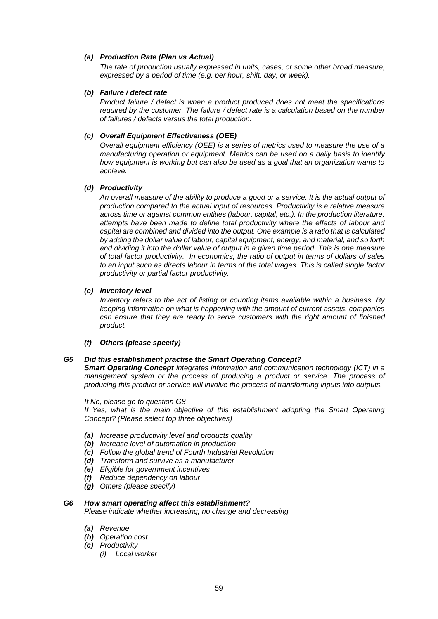# *(a) Production Rate (Plan vs Actual)*

*The rate of production usually expressed in units, cases, or some other broad measure, expressed by a period of time (e.g. per hour, shift, day, or week).*

# *(b) Failure / defect rate*

*Product failure / defect is when a product produced does not meet the specifications required by the customer. The failure / defect rate is a calculation based on the number of failures / defects versus the total production.*

# *(c) Overall Equipment Effectiveness (OEE)*

*Overall equipment efficiency (OEE) is a series of metrics used to measure the use of a manufacturing operation or equipment. Metrics can be used on a daily basis to identify how equipment is working but can also be used as a goal that an organization wants to achieve.*

# *(d) Productivity*

*An overall measure of the ability to produce a good or a service. It is the actual output of production compared to the actual input of resources. Productivity is a relative measure across time or against common entities (labour, capital, etc.). In the production literature, attempts have been made to define total productivity where the effects of labour and capital are combined and divided into the output. One example is a ratio that is calculated by adding the dollar value of labour, capital equipment, energy, and material, and so forth and dividing it into the dollar value of output in a given time period. This is one measure of total factor productivity. In economics, the ratio of output in terms of dollars of sales to an input such as directs labour in terms of the total wages. This is called single factor productivity or partial factor productivity.*

# *(e) Inventory level*

*Inventory refers to the act of listing or counting items available within a business. By keeping information on what is happening with the amount of current assets, companies can ensure that they are ready to serve customers with the right amount of finished product.*

*(f) Others (please specify)*

# *G5 Did this establishment practise the Smart Operating Concept?*

*Smart Operating Concept integrates information and communication technology (ICT) in a management system or the process of producing a product or service. The process of producing this product or service will involve the process of transforming inputs into outputs.*

# *If No, please go to question G8*

*If Yes, what is the main objective of this establishment adopting the Smart Operating Concept? (Please select top three objectives)*

- *(a) Increase productivity level and products quality*
- *(b) Increase level of automation in production*
- *(c) Follow the global trend of Fourth Industrial Revolution*
- *(d) Transform and survive as a manufacturer*
- *(e) Eligible for government incentives*
- *(f) Reduce dependency on labour*
- *(g) Others (please specify)*

# *G6 How smart operating affect this establishment?*

*Please indicate whether increasing, no change and decreasing*

- *(a) Revenue*
- *(b) Operation cost*
- *(c) Productivity*
	- *(i) Local worker*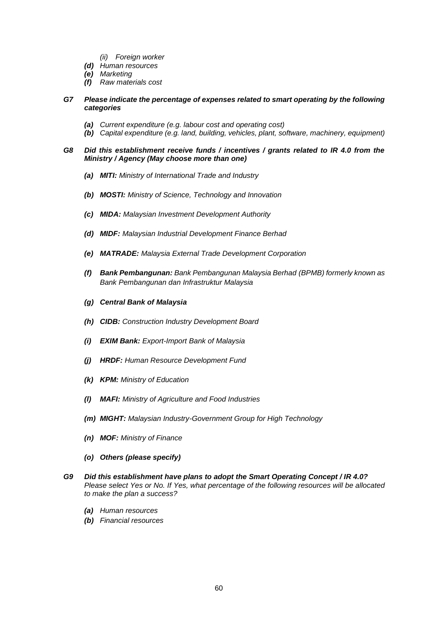- *(ii) Foreign worker*
- *(d) Human resources*
- *(e) Marketing*
- *(f) Raw materials cost*

# *G7 Please indicate the percentage of expenses related to smart operating by the following categories*

- *(a) Current expenditure (e.g. labour cost and operating cost)*
- *(b) Capital expenditure (e.g. land, building, vehicles, plant, software, machinery, equipment)*

# *G8 Did this establishment receive funds / incentives / grants related to IR 4.0 from the Ministry / Agency (May choose more than one)*

- *(a) MITI: Ministry of International Trade and Industry*
- *(b) MOSTI: Ministry of Science, Technology and Innovation*
- *(c) MIDA: Malaysian Investment Development Authority*
- *(d) MIDF: Malaysian Industrial Development Finance Berhad*
- *(e) MATRADE: Malaysia External Trade Development Corporation*
- *(f) Bank Pembangunan: Bank Pembangunan Malaysia Berhad (BPMB) formerly known as Bank Pembangunan dan Infrastruktur Malaysia*
- *(g) Central Bank of Malaysia*
- *(h) CIDB: Construction Industry Development Board*
- *(i) EXIM Bank: Export-Import Bank of Malaysia*
- *(j) HRDF: Human Resource Development Fund*
- *(k) KPM: Ministry of Education*
- *(l) MAFI: Ministry of Agriculture and Food Industries*
- *(m) MIGHT: Malaysian Industry-Government Group for High Technology*
- *(n) MOF: Ministry of Finance*
- *(o) Others (please specify)*
- *G9 Did this establishment have plans to adopt the Smart Operating Concept / IR 4.0? Please select Yes or No. If Yes, what percentage of the following resources will be allocated to make the plan a success?*
	- *(a) Human resources*
	- *(b) Financial resources*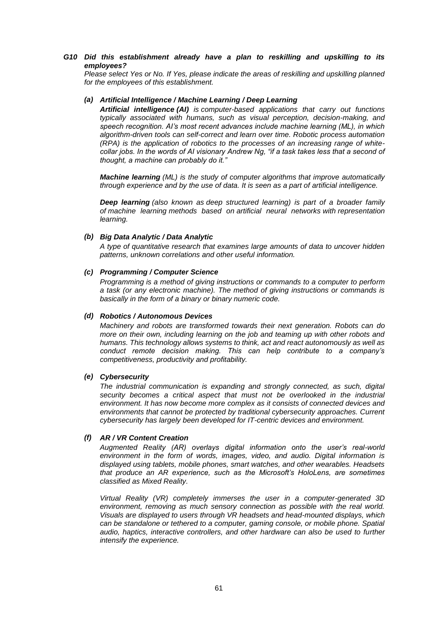# *G10 Did this establishment already have a plan to reskilling and upskilling to its employees?*

*Please select Yes or No. If Yes, please indicate the areas of reskilling and upskilling planned for the employees of this establishment.*

# *(a) Artificial Intelligence / Machine Learning / Deep Learning*

*Artificial intelligence (AI) is computer-based applications that carry out functions typically associated with humans, such as visual perception, decision-making, and speech recognition. AI's most recent advances include machine learning (ML), in which algorithm-driven tools can self-correct and learn over time. Robotic process automation (RPA) is the application of robotics to the processes of an increasing range of whitecollar jobs. In the words of AI visionary Andrew Ng, "if a task takes less that a second of thought, a machine can probably do it."*

*Machine learning (ML) is the study of computer [algorithms](https://en.wikipedia.org/wiki/Algorithm) that improve automatically through experience and by the use of data. It is seen as a part of [artificial intelligence.](https://en.wikipedia.org/wiki/Artificial_intelligence)*

*Deep learning (also known as deep structured learning) is part of a broader family of [machine learning](https://en.wikipedia.org/wiki/Machine_learning) methods based on [artificial neural networks](https://en.wikipedia.org/wiki/Artificial_neural_networks) with [representation](https://en.wikipedia.org/wiki/Representation_learning)  [learning.](https://en.wikipedia.org/wiki/Representation_learning)*

# *(b) Big Data Analytic / Data Analytic*

*A type of quantitative research that examines large amounts of data to uncover hidden patterns, unknown correlations and other useful information.*

# *(c) Programming / Computer Science*

*Programming is a method of giving instructions or commands to a computer to perform a task (or any electronic machine). The method of giving instructions or commands is basically in the form of a binary or binary numeric code.*

# *(d) Robotics / Autonomous Devices*

*Machinery and robots are transformed towards their next generation. Robots can do more on their own, including learning on the job and teaming up with other robots and humans. This technology allows systems to think, act and react autonomously as well as conduct remote decision making. This can help contribute to a company's competitiveness, productivity and profitability.*

# *(e) Cybersecurity*

*The industrial communication is expanding and strongly connected, as such, digital security becomes a critical aspect that must not be overlooked in the industrial environment. It has now become more complex as it consists of connected devices and environments that cannot be protected by traditional cybersecurity approaches. Current cybersecurity has largely been developed for IT-centric devices and environment.*

# *(f) AR / VR Content Creation*

*Augmented Reality (AR) overlays digital information onto the user's real-world environment in the form of words, images, video, and audio. Digital information is displayed using tablets, mobile phones, smart watches, and other wearables. Headsets that produce an AR experience, such as the Microsoft's HoloLens, are sometimes classified as Mixed Reality.*

*Virtual Reality (VR) completely immerses the user in a computer-generated 3D environment, removing as much sensory connection as possible with the real world. Visuals are displayed to users through VR headsets and head-mounted displays, which can be standalone or tethered to a computer, gaming console, or mobile phone. Spatial audio, haptics, interactive controllers, and other hardware can also be used to further intensify the experience.*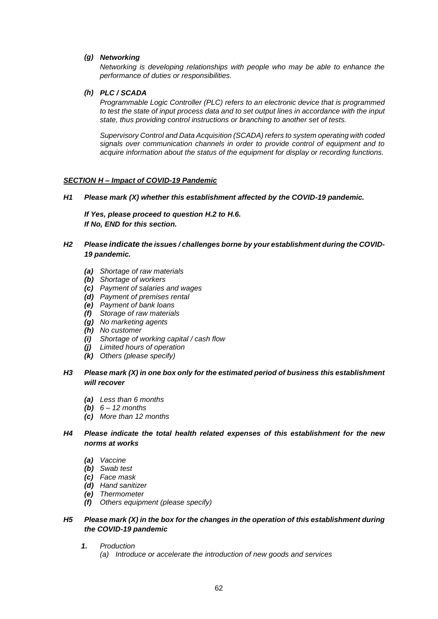# *(g) Networking*

*Networking is developing relationships with people who may be able to enhance the performance of duties or responsibilities.*

# *(h) PLC / SCADA*

*Programmable Logic Controller (PLC) refers to an electronic device that is programmed to test the state of input process data and to set output lines in accordance with the input state, thus providing control instructions or branching to another set of tests.*

*Supervisory Control and Data Acquisition (SCADA) refers to system operating with coded signals over communication channels in order to provide control of equipment and to acquire information about the status of the equipment for display or recording functions.*

# *SECTION H – Impact of COVID-19 Pandemic*

*H1 Please mark (X) whether this establishment affected by the COVID-19 pandemic.*

*If Yes, please proceed to question H.2 to H.6. If No, END for this section.*

- *H2 Please indicate the issues / challenges borne by your establishment during the COVID-19 pandemic.*
	- *(a) Shortage of raw materials*
	- *(b) Shortage of workers*
	- *(c) Payment of salaries and wages*
	- *(d) Payment of premises rental*
	- *(e) Payment of bank loans*
	- *(f) Storage of raw materials*
	- *(g) No marketing agents*
	- *(h) No customer*
	- *(i) Shortage of working capital / cash flow*
	- *(j) Limited hours of operation*
	- *(k) Others (please specify)*
- *H3 Please mark (X) in one box only for the estimated period of business this establishment will recover*
	- *(a) Less than 6 months*
	- *(b) 6 – 12 months*
	- *(c) More than 12 months*
- *H4 Please indicate the total health related expenses of this establishment for the new norms at works*
	- *(a) Vaccine*
	- *(b) Swab test*
	- *(c) Face mask*
	- *(d) Hand sanitizer*
	- *(e) Thermometer*
	- *(f) Others equipment (please specify)*

# *H5 Please mark (X) in the box for the changes in the operation of this establishment during the COVID-19 pandemic*

- *1. Production*
	- *(a) Introduce or accelerate the introduction of new goods and services*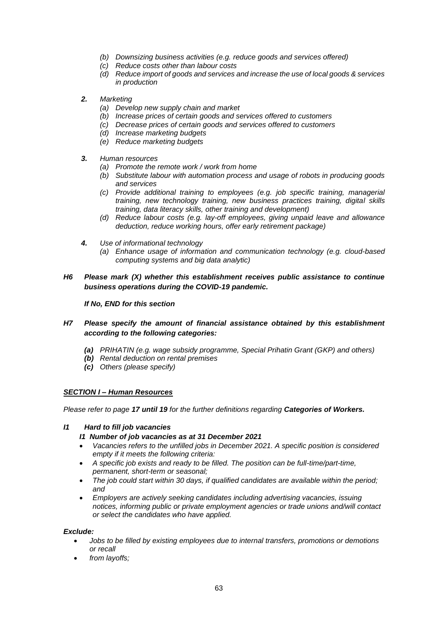- *(b) Downsizing business activities (e.g. reduce goods and services offered)*
- *(c) Reduce costs other than labour costs*
- *(d) Reduce import of goods and services and increase the use of local goods & services in production*
- *2. Marketing*
	- *(a) Develop new supply chain and market*
	- *(b) Increase prices of certain goods and services offered to customers*
	- *(c) Decrease prices of certain goods and services offered to customers*
	- *(d) Increase marketing budgets*
	- *(e) Reduce marketing budgets*
- *3. Human resources*
	- *(a) Promote the remote work / work from home*
	- *(b) Substitute labour with automation process and usage of robots in producing goods and services*
	- *(c) Provide additional training to employees (e.g. job specific training, managerial training, new technology training, new business practices training, digital skills training, data literacy skills, other training and development)*
	- *(d) Reduce labour costs (e.g. lay-off employees, giving unpaid leave and allowance deduction, reduce working hours, offer early retirement package)*
- *4. Use of informational technology*
	- *(a) Enhance usage of information and communication technology (e.g. cloud-based computing systems and big data analytic)*
- *H6 Please mark (X) whether this establishment receives public assistance to continue business operations during the COVID-19 pandemic.*

# *If No, END for this section*

# *H7 Please specify the amount of financial assistance obtained by this establishment according to the following categories:*

- *(a) PRIHATIN (e.g. wage subsidy programme, Special Prihatin Grant (GKP) and others)*
- *(b) Rental deduction on rental premises*
- *(c) Others (please specify)*

# *SECTION I – Human Resources*

*Please refer to page 17 until 19 for the further definitions regarding Categories of Workers.*

# *I1 Hard to fill job vacancies*

# *I1 Number of job vacancies as at 31 December 2021*

- *Vacancies refers to the unfilled jobs in December 2021. A specific position is considered empty if it meets the following criteria:*
- *A specific job exists and ready to be filled. The position can be full-time/part-time, permanent, short-term or seasonal;*
- *The job could start within 30 days, if qualified candidates are available within the period; and*
- *Employers are actively seeking candidates including advertising vacancies, issuing notices, informing public or private employment agencies or trade unions and/will contact or select the candidates who have applied.*

# *Exclude:*

- *Jobs to be filled by existing employees due to internal transfers, promotions or demotions or recall*
- *from layoffs;*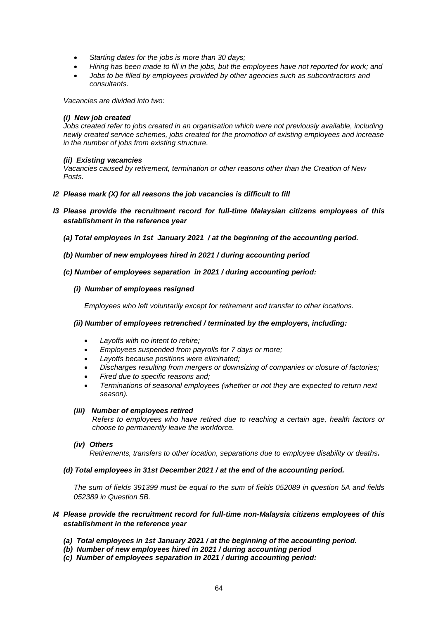- *Starting dates for the jobs is more than 30 days;*
- *Hiring has been made to fill in the jobs, but the employees have not reported for work; and*
- *Jobs to be filled by employees provided by other agencies such as subcontractors and consultants.*

*Vacancies are divided into two:* 

# *(i) New job created*

*Jobs created refer to jobs created in an organisation which were not previously available, including newly created service schemes, jobs created for the promotion of existing employees and increase in the number of jobs from existing structure.*

# *(ii) Existing vacancies*

*Vacancies caused by retirement, termination or other reasons other than the Creation of New Posts.*

- *I2 Please mark (X) for all reasons the job vacancies is difficult to fill*
- *I3 Please provide the recruitment record for full-time Malaysian citizens employees of this establishment in the reference year*
	- *(a) Total employees in 1st January 2021 / at the beginning of the accounting period.*
	- *(b) Number of new employees hired in 2021 / during accounting period*

# *(c) Number of employees separation in 2021 / during accounting period:*

# *(i) Number of employees resigned*

*Employees who left voluntarily except for retirement and transfer to other locations.*

# *(ii) Number of employees retrenched / terminated by the employers, including:*

- *Layoffs with no intent to rehire;*
- *Employees suspended from payrolls for 7 days or more;*
- *Layoffs because positions were eliminated;*
- *Discharges resulting from mergers or downsizing of companies or closure of factories;*
- *Fired due to specific reasons and;*
- *Terminations of seasonal employees (whether or not they are expected to return next season).*

# *(iii) Number of employees retired*

*Refers to employees who have retired due to reaching a certain age, health factors or choose to permanently leave the workforce.*

# *(iv) Others*

*Retirements, transfers to other location, separations due to employee disability or deaths.*

# *(d) Total employees in 31st December 2021 / at the end of the accounting period.*

*The sum of fields 391399 must be equal to the sum of fields 052089 in question 5A and fields 052389 in Question 5B.*

# *I4 Please provide the recruitment record for full-time non-Malaysia citizens employees of this establishment in the reference year*

- *(a) Total employees in 1st January 2021 / at the beginning of the accounting period.*
- *(b) Number of new employees hired in 2021 / during accounting period*
- *(c) Number of employees separation in 2021 / during accounting period:*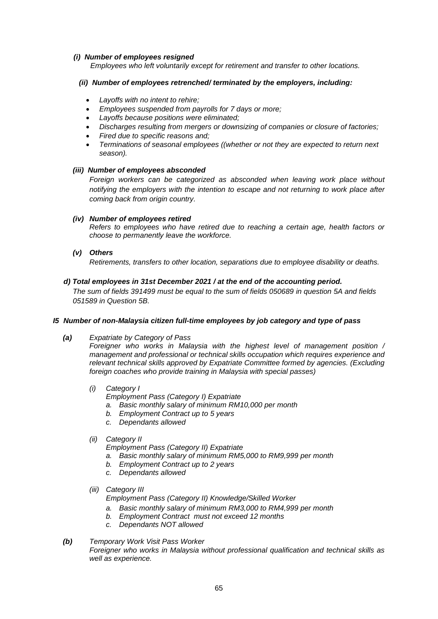# *(i) Number of employees resigned*

 *Employees who left voluntarily except for retirement and transfer to other locations.*

# *(ii) Number of employees retrenched/ terminated by the employers, including:*

- *Layoffs with no intent to rehire;*
- *Employees suspended from payrolls for 7 days or more;*
- *Layoffs because positions were eliminated;*
- *Discharges resulting from mergers or downsizing of companies or closure of factories;*
- *Fired due to specific reasons and;*
- *Terminations of seasonal employees ((whether or not they are expected to return next season).*

# *(iii) Number of employees absconded*

*Foreign workers can be categorized as absconded when leaving work place without notifying the employers with the intention to escape and not returning to work place after coming back from origin country.*

# *(iv) Number of employees retired*

*Refers to employees who have retired due to reaching a certain age, health factors or choose to permanently leave the workforce.*

# *(v) Others*

*Retirements, transfers to other location, separations due to employee disability or deaths.*

# *d) Total employees in 31st December 2021 / at the end of the accounting period.*

*The sum of fields 391499 must be equal to the sum of fields 050689 in question 5A and fields 051589 in Question 5B.*

# *I5 Number of non-Malaysia citizen full-time employees by job category and type of pass*

*(a) Expatriate by Category of Pass*

*Foreigner who works in Malaysia with the highest level of management position / management and professional or technical skills occupation which requires experience and relevant technical skills approved by Expatriate Committee formed by agencies. (Excluding foreign coaches who provide training in Malaysia with special passes)*

# *(i) Category I*

- *Employment Pass (Category I) Expatriate*
- *a. Basic monthly salary of minimum RM10,000 per month*
- *b. Employment Contract up to 5 years*
- *c. Dependants allowed*

# *(ii) Category II*

*Employment Pass (Category II) Expatriate*

- *a. Basic monthly salary of minimum RM5,000 to RM9,999 per month*
- *b. Employment Contract up to 2 years*
- *c. Dependants allowed*
- *(iii) Category III*

*Employment Pass (Category II) Knowledge/Skilled Worker*

- *a. Basic monthly salary of minimum RM3,000 to RM4,999 per month*
- *b. Employment Contract must not exceed 12 months*
- *c. Dependants NOT allowed*

# *(b) Temporary Work Visit Pass Worker*

*Foreigner who works in Malaysia without professional qualification and technical skills as well as experience.*